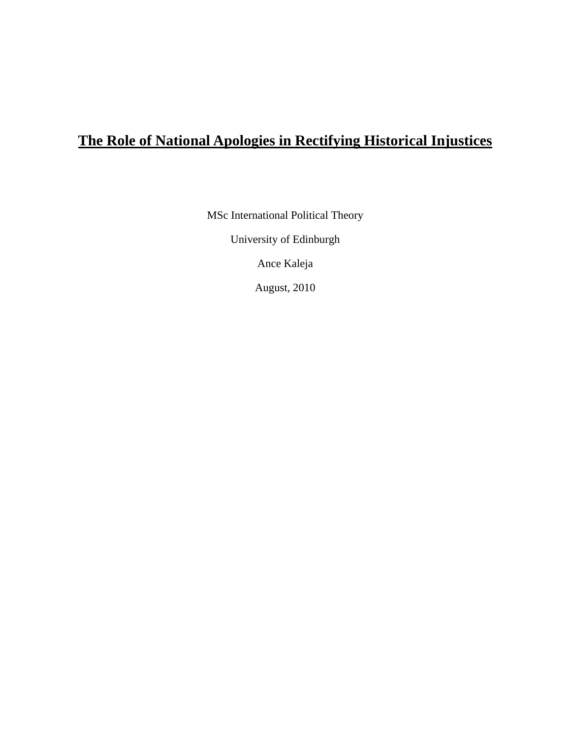# **The Role of National Apologies in Rectifying Historical Injustices**

MSc International Political Theory

University of Edinburgh

Ance Kaleja

August, 2010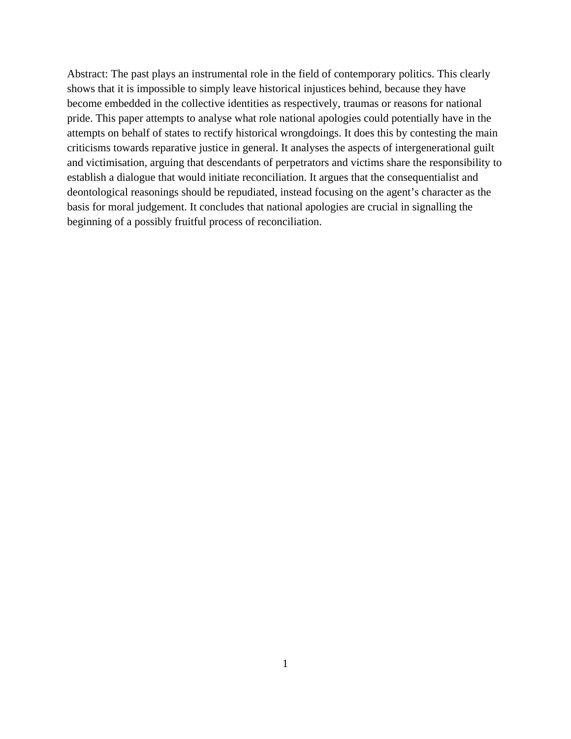Abstract: The past plays an instrumental role in the field of contemporary politics. This clearly shows that it is impossible to simply leave historical injustices behind, because they have become embedded in the collective identities as respectively, traumas or reasons for national pride. This paper attempts to analyse what role national apologies could potentially have in the attempts on behalf of states to rectify historical wrongdoings. It does this by contesting the main criticisms towards reparative justice in general. It analyses the aspects of intergenerational guilt and victimisation, arguing that descendants of perpetrators and victims share the responsibility to establish a dialogue that would initiate reconciliation. It argues that the consequentialist and deontological reasonings should be repudiated, instead focusing on the agent's character as the basis for moral judgement. It concludes that national apologies are crucial in signalling the beginning of a possibly fruitful process of reconciliation.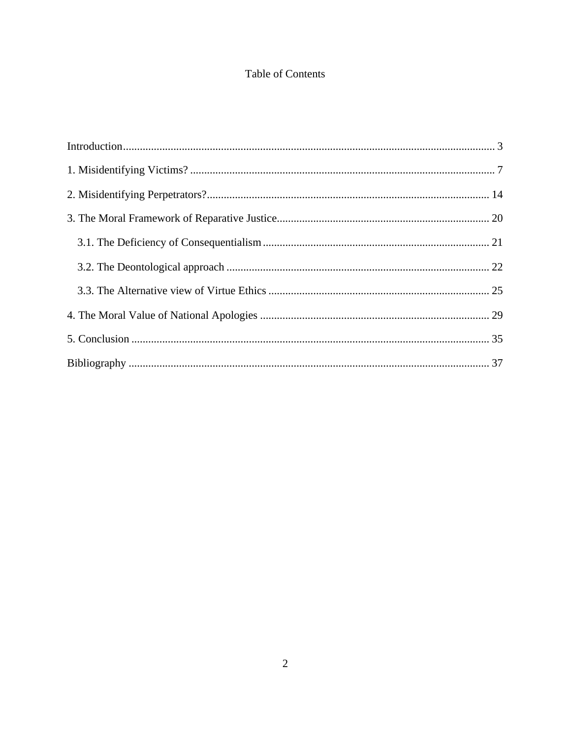# Table of Contents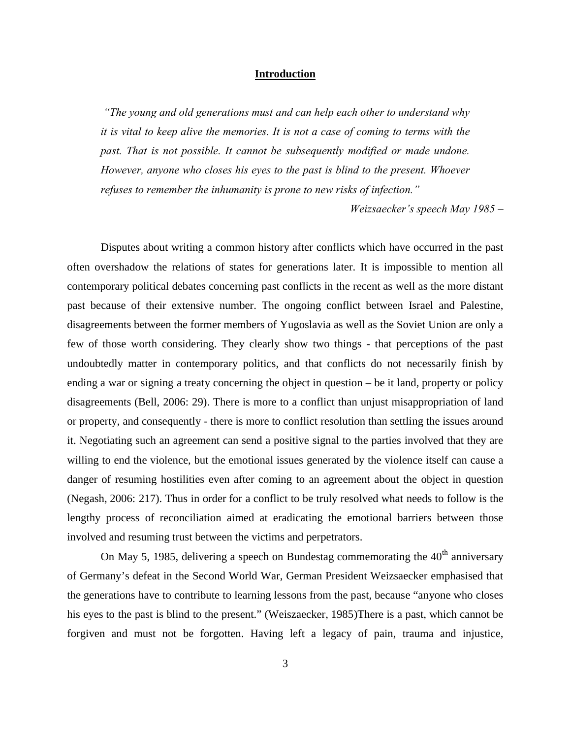# **Introduction**

*"The young and old generations must and can help each other to understand why it is vital to keep alive the memories. It is not a case of coming to terms with the past. That is not possible. It cannot be subsequently modified or made undone. However, anyone who closes his eyes to the past is blind to the present. Whoever refuses to remember the inhumanity is prone to new risks of infection."*

*Weizsaecker's speech May 1985 –*

Disputes about writing a common history after conflicts which have occurred in the past often overshadow the relations of states for generations later. It is impossible to mention all contemporary political debates concerning past conflicts in the recent as well as the more distant past because of their extensive number. The ongoing conflict between Israel and Palestine, disagreements between the former members of Yugoslavia as well as the Soviet Union are only a few of those worth considering. They clearly show two things - that perceptions of the past undoubtedly matter in contemporary politics, and that conflicts do not necessarily finish by ending a war or signing a treaty concerning the object in question – be it land, property or policy disagreements (Bell, 2006: 29). There is more to a conflict than unjust misappropriation of land or property, and consequently - there is more to conflict resolution than settling the issues around it. Negotiating such an agreement can send a positive signal to the parties involved that they are willing to end the violence, but the emotional issues generated by the violence itself can cause a danger of resuming hostilities even after coming to an agreement about the object in question (Negash, 2006: 217). Thus in order for a conflict to be truly resolved what needs to follow is the lengthy process of reconciliation aimed at eradicating the emotional barriers between those involved and resuming trust between the victims and perpetrators.

On May 5, 1985, delivering a speech on Bundestag commemorating the  $40<sup>th</sup>$  anniversary of Germany's defeat in the Second World War, German President Weizsaecker emphasised that the generations have to contribute to learning lessons from the past, because "anyone who closes his eyes to the past is blind to the present." (Weiszaecker, 1985)There is a past, which cannot be forgiven and must not be forgotten. Having left a legacy of pain, trauma and injustice,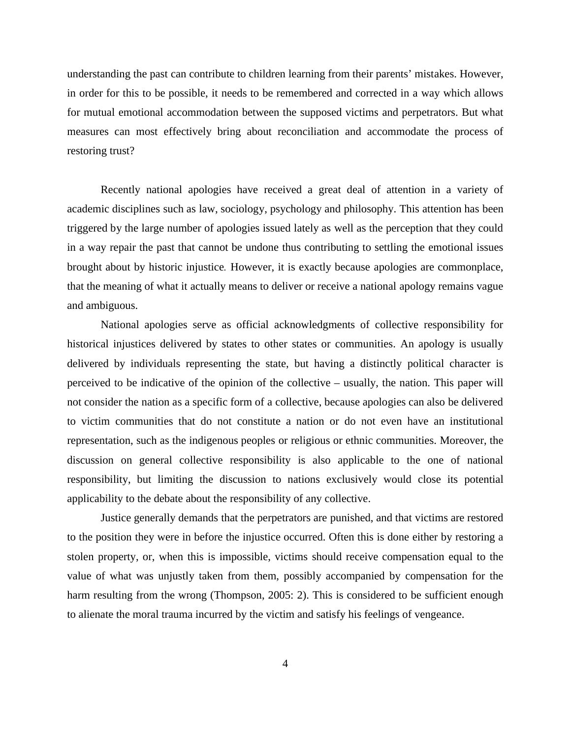understanding the past can contribute to children learning from their parents' mistakes. However, in order for this to be possible, it needs to be remembered and corrected in a way which allows for mutual emotional accommodation between the supposed victims and perpetrators. But what measures can most effectively bring about reconciliation and accommodate the process of restoring trust?

Recently national apologies have received a great deal of attention in a variety of academic disciplines such as law, sociology, psychology and philosophy. This attention has been triggered by the large number of apologies issued lately as well as the perception that they could in a way repair the past that cannot be undone thus contributing to settling the emotional issues brought about by historic injustice*.* However, it is exactly because apologies are commonplace, that the meaning of what it actually means to deliver or receive a national apology remains vague and ambiguous.

National apologies serve as official acknowledgments of collective responsibility for historical injustices delivered by states to other states or communities. An apology is usually delivered by individuals representing the state, but having a distinctly political character is perceived to be indicative of the opinion of the collective – usually, the nation. This paper will not consider the nation as a specific form of a collective, because apologies can also be delivered to victim communities that do not constitute a nation or do not even have an institutional representation, such as the indigenous peoples or religious or ethnic communities. Moreover, the discussion on general collective responsibility is also applicable to the one of national responsibility, but limiting the discussion to nations exclusively would close its potential applicability to the debate about the responsibility of any collective.

Justice generally demands that the perpetrators are punished, and that victims are restored to the position they were in before the injustice occurred. Often this is done either by restoring a stolen property, or, when this is impossible, victims should receive compensation equal to the value of what was unjustly taken from them, possibly accompanied by compensation for the harm resulting from the wrong (Thompson, 2005: 2). This is considered to be sufficient enough to alienate the moral trauma incurred by the victim and satisfy his feelings of vengeance.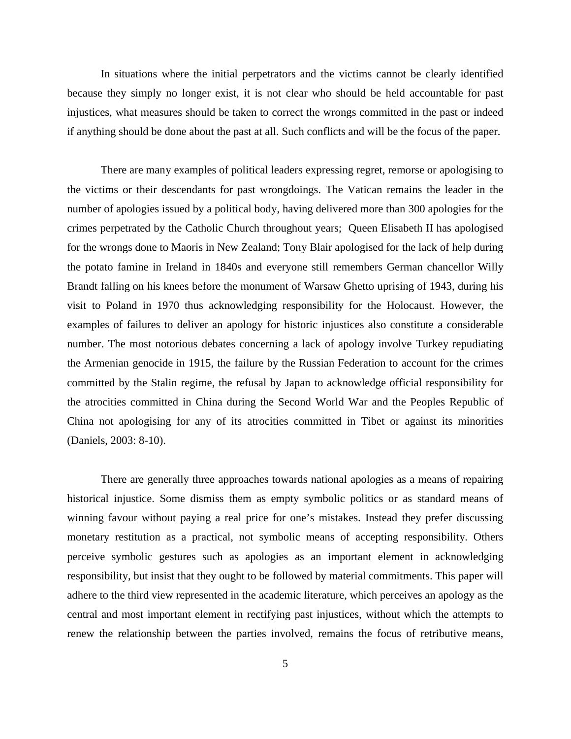In situations where the initial perpetrators and the victims cannot be clearly identified because they simply no longer exist, it is not clear who should be held accountable for past injustices, what measures should be taken to correct the wrongs committed in the past or indeed if anything should be done about the past at all. Such conflicts and will be the focus of the paper.

There are many examples of political leaders expressing regret, remorse or apologising to the victims or their descendants for past wrongdoings. The Vatican remains the leader in the number of apologies issued by a political body, having delivered more than 300 apologies for the crimes perpetrated by the Catholic Church throughout years; Queen Elisabeth II has apologised for the wrongs done to Maoris in New Zealand; Tony Blair apologised for the lack of help during the potato famine in Ireland in 1840s and everyone still remembers German chancellor Willy Brandt falling on his knees before the monument of Warsaw Ghetto uprising of 1943, during his visit to Poland in 1970 thus acknowledging responsibility for the Holocaust. However, the examples of failures to deliver an apology for historic injustices also constitute a considerable number. The most notorious debates concerning a lack of apology involve Turkey repudiating the Armenian genocide in 1915, the failure by the Russian Federation to account for the crimes committed by the Stalin regime, the refusal by Japan to acknowledge official responsibility for the atrocities committed in China during the Second World War and the Peoples Republic of China not apologising for any of its atrocities committed in Tibet or against its minorities (Daniels, 2003: 8-10).

There are generally three approaches towards national apologies as a means of repairing historical injustice. Some dismiss them as empty symbolic politics or as standard means of winning favour without paying a real price for one's mistakes. Instead they prefer discussing monetary restitution as a practical, not symbolic means of accepting responsibility. Others perceive symbolic gestures such as apologies as an important element in acknowledging responsibility, but insist that they ought to be followed by material commitments. This paper will adhere to the third view represented in the academic literature, which perceives an apology as the central and most important element in rectifying past injustices, without which the attempts to renew the relationship between the parties involved, remains the focus of retributive means,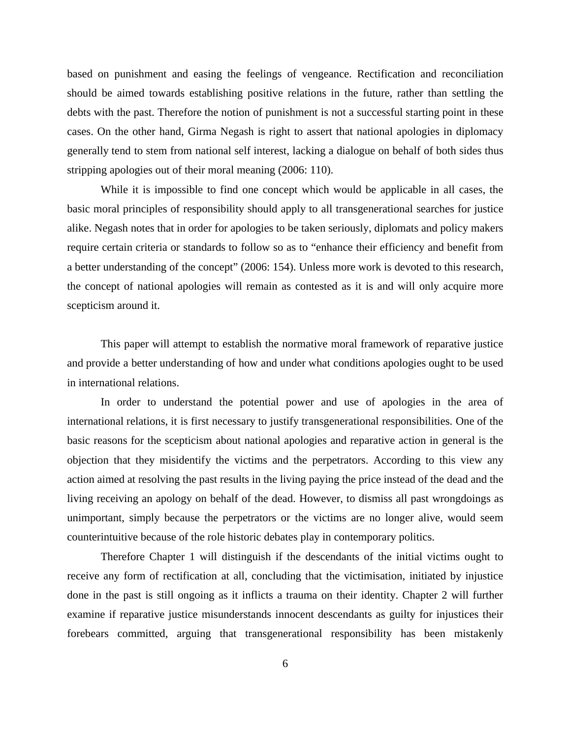based on punishment and easing the feelings of vengeance. Rectification and reconciliation should be aimed towards establishing positive relations in the future, rather than settling the debts with the past. Therefore the notion of punishment is not a successful starting point in these cases. On the other hand, Girma Negash is right to assert that national apologies in diplomacy generally tend to stem from national self interest, lacking a dialogue on behalf of both sides thus stripping apologies out of their moral meaning (2006: 110).

While it is impossible to find one concept which would be applicable in all cases, the basic moral principles of responsibility should apply to all transgenerational searches for justice alike. Negash notes that in order for apologies to be taken seriously, diplomats and policy makers require certain criteria or standards to follow so as to "enhance their efficiency and benefit from a better understanding of the concept" (2006: 154). Unless more work is devoted to this research, the concept of national apologies will remain as contested as it is and will only acquire more scepticism around it.

This paper will attempt to establish the normative moral framework of reparative justice and provide a better understanding of how and under what conditions apologies ought to be used in international relations.

In order to understand the potential power and use of apologies in the area of international relations, it is first necessary to justify transgenerational responsibilities. One of the basic reasons for the scepticism about national apologies and reparative action in general is the objection that they misidentify the victims and the perpetrators. According to this view any action aimed at resolving the past results in the living paying the price instead of the dead and the living receiving an apology on behalf of the dead. However, to dismiss all past wrongdoings as unimportant, simply because the perpetrators or the victims are no longer alive, would seem counterintuitive because of the role historic debates play in contemporary politics.

Therefore Chapter 1 will distinguish if the descendants of the initial victims ought to receive any form of rectification at all, concluding that the victimisation, initiated by injustice done in the past is still ongoing as it inflicts a trauma on their identity. Chapter 2 will further examine if reparative justice misunderstands innocent descendants as guilty for injustices their forebears committed, arguing that transgenerational responsibility has been mistakenly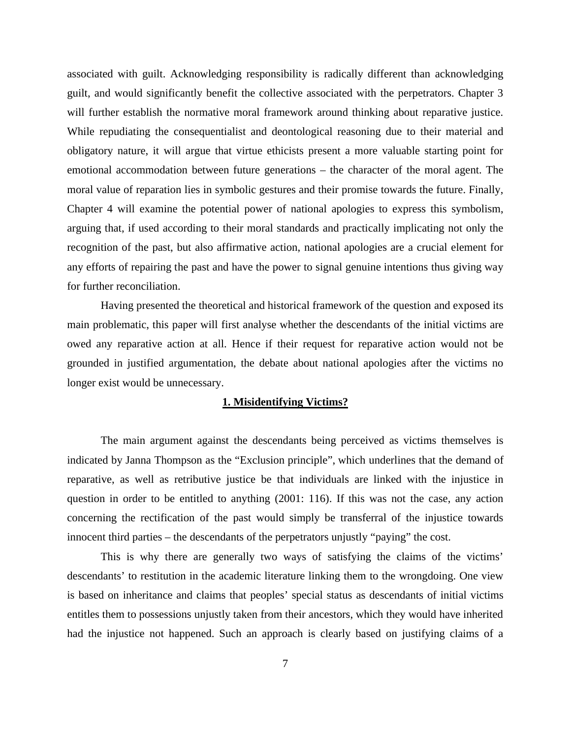associated with guilt. Acknowledging responsibility is radically different than acknowledging guilt, and would significantly benefit the collective associated with the perpetrators. Chapter 3 will further establish the normative moral framework around thinking about reparative justice. While repudiating the consequentialist and deontological reasoning due to their material and obligatory nature, it will argue that virtue ethicists present a more valuable starting point for emotional accommodation between future generations – the character of the moral agent. The moral value of reparation lies in symbolic gestures and their promise towards the future. Finally, Chapter 4 will examine the potential power of national apologies to express this symbolism, arguing that, if used according to their moral standards and practically implicating not only the recognition of the past, but also affirmative action, national apologies are a crucial element for any efforts of repairing the past and have the power to signal genuine intentions thus giving way for further reconciliation.

Having presented the theoretical and historical framework of the question and exposed its main problematic, this paper will first analyse whether the descendants of the initial victims are owed any reparative action at all. Hence if their request for reparative action would not be grounded in justified argumentation, the debate about national apologies after the victims no longer exist would be unnecessary.

# **1. Misidentifying Victims?**

The main argument against the descendants being perceived as victims themselves is indicated by Janna Thompson as the "Exclusion principle", which underlines that the demand of reparative, as well as retributive justice be that individuals are linked with the injustice in question in order to be entitled to anything (2001: 116). If this was not the case, any action concerning the rectification of the past would simply be transferral of the injustice towards innocent third parties – the descendants of the perpetrators unjustly "paying" the cost.

This is why there are generally two ways of satisfying the claims of the victims' descendants' to restitution in the academic literature linking them to the wrongdoing. One view is based on inheritance and claims that peoples' special status as descendants of initial victims entitles them to possessions unjustly taken from their ancestors, which they would have inherited had the injustice not happened. Such an approach is clearly based on justifying claims of a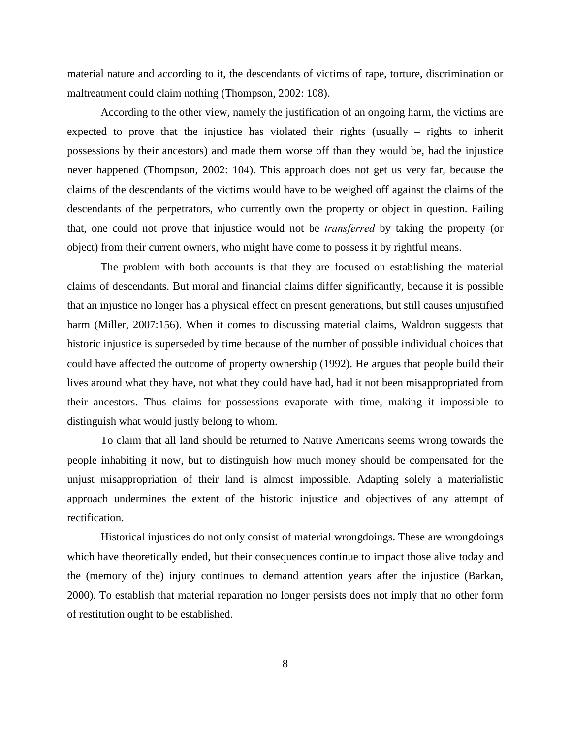material nature and according to it, the descendants of victims of rape, torture, discrimination or maltreatment could claim nothing (Thompson, 2002: 108).

According to the other view, namely the justification of an ongoing harm, the victims are expected to prove that the injustice has violated their rights (usually – rights to inherit possessions by their ancestors) and made them worse off than they would be, had the injustice never happened (Thompson, 2002: 104). This approach does not get us very far, because the claims of the descendants of the victims would have to be weighed off against the claims of the descendants of the perpetrators, who currently own the property or object in question. Failing that, one could not prove that injustice would not be *transferred* by taking the property (or object) from their current owners, who might have come to possess it by rightful means.

The problem with both accounts is that they are focused on establishing the material claims of descendants. But moral and financial claims differ significantly, because it is possible that an injustice no longer has a physical effect on present generations, but still causes unjustified harm (Miller, 2007:156). When it comes to discussing material claims, Waldron suggests that historic injustice is superseded by time because of the number of possible individual choices that could have affected the outcome of property ownership (1992). He argues that people build their lives around what they have, not what they could have had, had it not been misappropriated from their ancestors. Thus claims for possessions evaporate with time, making it impossible to distinguish what would justly belong to whom.

To claim that all land should be returned to Native Americans seems wrong towards the people inhabiting it now, but to distinguish how much money should be compensated for the unjust misappropriation of their land is almost impossible. Adapting solely a materialistic approach undermines the extent of the historic injustice and objectives of any attempt of rectification.

Historical injustices do not only consist of material wrongdoings. These are wrongdoings which have theoretically ended, but their consequences continue to impact those alive today and the (memory of the) injury continues to demand attention years after the injustice (Barkan, 2000). To establish that material reparation no longer persists does not imply that no other form of restitution ought to be established.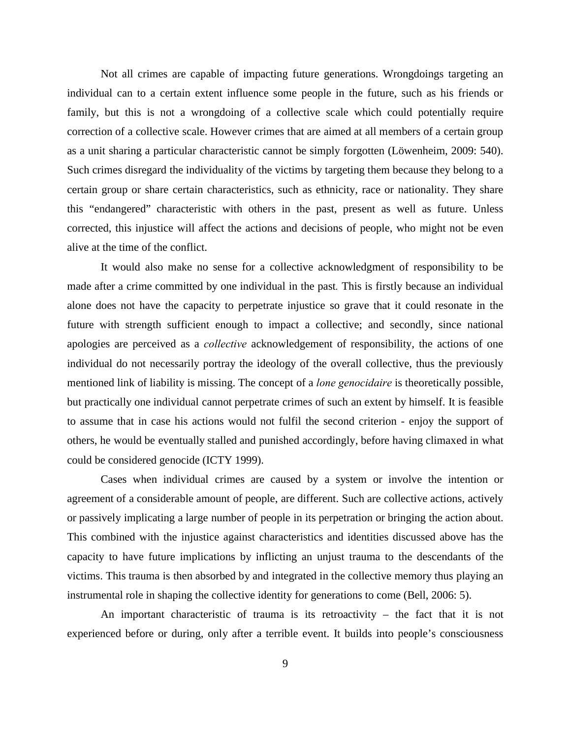Not all crimes are capable of impacting future generations. Wrongdoings targeting an individual can to a certain extent influence some people in the future, such as his friends or family, but this is not a wrongdoing of a collective scale which could potentially require correction of a collective scale. However crimes that are aimed at all members of a certain group as a unit sharing a particular characteristic cannot be simply forgotten (Löwenheim, 2009: 540). Such crimes disregard the individuality of the victims by targeting them because they belong to a certain group or share certain characteristics, such as ethnicity, race or nationality. They share this "endangered" characteristic with others in the past, present as well as future. Unless corrected, this injustice will affect the actions and decisions of people, who might not be even alive at the time of the conflict.

It would also make no sense for a collective acknowledgment of responsibility to be made after a crime committed by one individual in the past*.* This is firstly because an individual alone does not have the capacity to perpetrate injustice so grave that it could resonate in the future with strength sufficient enough to impact a collective; and secondly, since national apologies are perceived as a *collective* acknowledgement of responsibility, the actions of one individual do not necessarily portray the ideology of the overall collective, thus the previously mentioned link of liability is missing. The concept of a *lone genocidaire* is theoretically possible, but practically one individual cannot perpetrate crimes of such an extent by himself. It is feasible to assume that in case his actions would not fulfil the second criterion - enjoy the support of others, he would be eventually stalled and punished accordingly, before having climaxed in what could be considered genocide (ICTY 1999).

Cases when individual crimes are caused by a system or involve the intention or agreement of a considerable amount of people, are different. Such are collective actions, actively or passively implicating a large number of people in its perpetration or bringing the action about. This combined with the injustice against characteristics and identities discussed above has the capacity to have future implications by inflicting an unjust trauma to the descendants of the victims. This trauma is then absorbed by and integrated in the collective memory thus playing an instrumental role in shaping the collective identity for generations to come (Bell, 2006: 5).

An important characteristic of trauma is its retroactivity – the fact that it is not experienced before or during, only after a terrible event. It builds into people's consciousness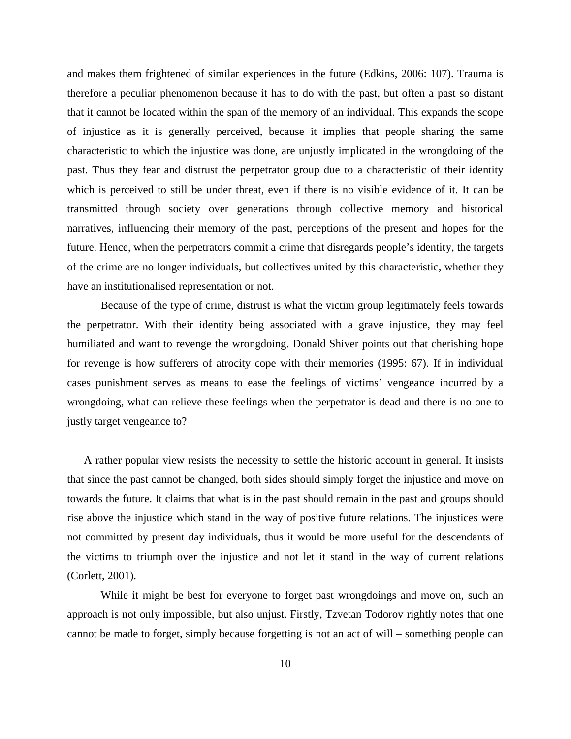and makes them frightened of similar experiences in the future (Edkins, 2006: 107). Trauma is therefore a peculiar phenomenon because it has to do with the past, but often a past so distant that it cannot be located within the span of the memory of an individual. This expands the scope of injustice as it is generally perceived, because it implies that people sharing the same characteristic to which the injustice was done, are unjustly implicated in the wrongdoing of the past. Thus they fear and distrust the perpetrator group due to a characteristic of their identity which is perceived to still be under threat, even if there is no visible evidence of it. It can be transmitted through society over generations through collective memory and historical narratives, influencing their memory of the past, perceptions of the present and hopes for the future. Hence, when the perpetrators commit a crime that disregards people's identity, the targets of the crime are no longer individuals, but collectives united by this characteristic, whether they have an institutionalised representation or not.

Because of the type of crime, distrust is what the victim group legitimately feels towards the perpetrator. With their identity being associated with a grave injustice, they may feel humiliated and want to revenge the wrongdoing. Donald Shiver points out that cherishing hope for revenge is how sufferers of atrocity cope with their memories (1995: 67). If in individual cases punishment serves as means to ease the feelings of victims' vengeance incurred by a wrongdoing, what can relieve these feelings when the perpetrator is dead and there is no one to justly target vengeance to?

A rather popular view resists the necessity to settle the historic account in general. It insists that since the past cannot be changed, both sides should simply forget the injustice and move on towards the future. It claims that what is in the past should remain in the past and groups should rise above the injustice which stand in the way of positive future relations. The injustices were not committed by present day individuals, thus it would be more useful for the descendants of the victims to triumph over the injustice and not let it stand in the way of current relations (Corlett, 2001).

While it might be best for everyone to forget past wrongdoings and move on, such an approach is not only impossible, but also unjust. Firstly, Tzvetan Todorov rightly notes that one cannot be made to forget, simply because forgetting is not an act of will – something people can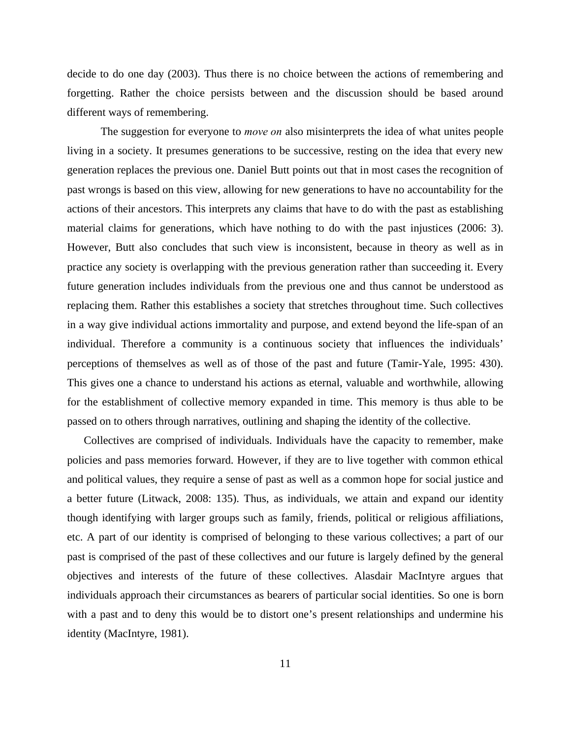decide to do one day (2003). Thus there is no choice between the actions of remembering and forgetting. Rather the choice persists between and the discussion should be based around different ways of remembering.

The suggestion for everyone to *move on* also misinterprets the idea of what unites people living in a society. It presumes generations to be successive, resting on the idea that every new generation replaces the previous one. Daniel Butt points out that in most cases the recognition of past wrongs is based on this view, allowing for new generations to have no accountability for the actions of their ancestors. This interprets any claims that have to do with the past as establishing material claims for generations, which have nothing to do with the past injustices (2006: 3). However, Butt also concludes that such view is inconsistent, because in theory as well as in practice any society is overlapping with the previous generation rather than succeeding it. Every future generation includes individuals from the previous one and thus cannot be understood as replacing them. Rather this establishes a society that stretches throughout time. Such collectives in a way give individual actions immortality and purpose, and extend beyond the life-span of an individual. Therefore a community is a continuous society that influences the individuals' perceptions of themselves as well as of those of the past and future (Tamir-Yale, 1995: 430). This gives one a chance to understand his actions as eternal, valuable and worthwhile, allowing for the establishment of collective memory expanded in time. This memory is thus able to be passed on to others through narratives, outlining and shaping the identity of the collective.

Collectives are comprised of individuals. Individuals have the capacity to remember, make policies and pass memories forward. However, if they are to live together with common ethical and political values, they require a sense of past as well as a common hope for social justice and a better future (Litwack, 2008: 135). Thus, as individuals, we attain and expand our identity though identifying with larger groups such as family, friends, political or religious affiliations, etc. A part of our identity is comprised of belonging to these various collectives; a part of our past is comprised of the past of these collectives and our future is largely defined by the general objectives and interests of the future of these collectives. Alasdair MacIntyre argues that individuals approach their circumstances as bearers of particular social identities. So one is born with a past and to deny this would be to distort one's present relationships and undermine his identity (MacIntyre, 1981).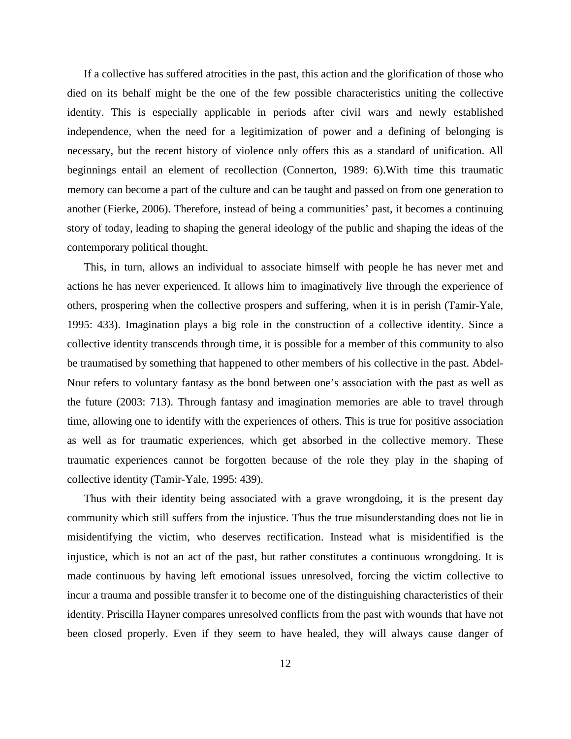If a collective has suffered atrocities in the past, this action and the glorification of those who died on its behalf might be the one of the few possible characteristics uniting the collective identity. This is especially applicable in periods after civil wars and newly established independence, when the need for a legitimization of power and a defining of belonging is necessary, but the recent history of violence only offers this as a standard of unification. All beginnings entail an element of recollection (Connerton, 1989: 6).With time this traumatic memory can become a part of the culture and can be taught and passed on from one generation to another (Fierke, 2006). Therefore, instead of being a communities' past, it becomes a continuing story of today, leading to shaping the general ideology of the public and shaping the ideas of the contemporary political thought.

This, in turn, allows an individual to associate himself with people he has never met and actions he has never experienced. It allows him to imaginatively live through the experience of others, prospering when the collective prospers and suffering, when it is in perish (Tamir-Yale, 1995: 433). Imagination plays a big role in the construction of a collective identity. Since a collective identity transcends through time, it is possible for a member of this community to also be traumatised by something that happened to other members of his collective in the past. Abdel-Nour refers to voluntary fantasy as the bond between one's association with the past as well as the future (2003: 713). Through fantasy and imagination memories are able to travel through time, allowing one to identify with the experiences of others. This is true for positive association as well as for traumatic experiences, which get absorbed in the collective memory. These traumatic experiences cannot be forgotten because of the role they play in the shaping of collective identity (Tamir-Yale, 1995: 439).

Thus with their identity being associated with a grave wrongdoing, it is the present day community which still suffers from the injustice. Thus the true misunderstanding does not lie in misidentifying the victim, who deserves rectification. Instead what is misidentified is the injustice, which is not an act of the past, but rather constitutes a continuous wrongdoing. It is made continuous by having left emotional issues unresolved, forcing the victim collective to incur a trauma and possible transfer it to become one of the distinguishing characteristics of their identity. Priscilla Hayner compares unresolved conflicts from the past with wounds that have not been closed properly. Even if they seem to have healed, they will always cause danger of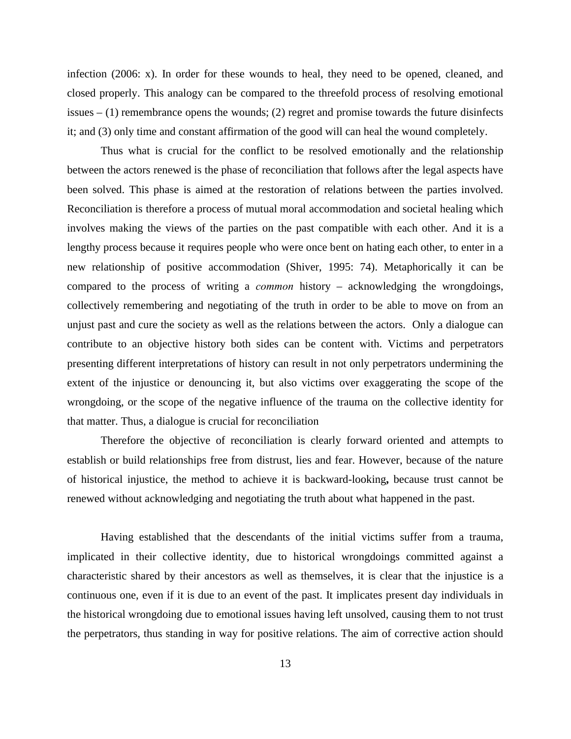infection (2006: x). In order for these wounds to heal, they need to be opened, cleaned, and closed properly. This analogy can be compared to the threefold process of resolving emotional issues  $- (1)$  remembrance opens the wounds; (2) regret and promise towards the future disinfects it; and (3) only time and constant affirmation of the good will can heal the wound completely.

Thus what is crucial for the conflict to be resolved emotionally and the relationship between the actors renewed is the phase of reconciliation that follows after the legal aspects have been solved. This phase is aimed at the restoration of relations between the parties involved. Reconciliation is therefore a process of mutual moral accommodation and societal healing which involves making the views of the parties on the past compatible with each other. And it is a lengthy process because it requires people who were once bent on hating each other, to enter in a new relationship of positive accommodation (Shiver, 1995: 74). Metaphorically it can be compared to the process of writing a *common* history – acknowledging the wrongdoings, collectively remembering and negotiating of the truth in order to be able to move on from an unjust past and cure the society as well as the relations between the actors. Only a dialogue can contribute to an objective history both sides can be content with. Victims and perpetrators presenting different interpretations of history can result in not only perpetrators undermining the extent of the injustice or denouncing it, but also victims over exaggerating the scope of the wrongdoing, or the scope of the negative influence of the trauma on the collective identity for that matter. Thus, a dialogue is crucial for reconciliation

Therefore the objective of reconciliation is clearly forward oriented and attempts to establish or build relationships free from distrust, lies and fear. However, because of the nature of historical injustice, the method to achieve it is backward-looking**,** because trust cannot be renewed without acknowledging and negotiating the truth about what happened in the past.

Having established that the descendants of the initial victims suffer from a trauma, implicated in their collective identity, due to historical wrongdoings committed against a characteristic shared by their ancestors as well as themselves, it is clear that the injustice is a continuous one, even if it is due to an event of the past. It implicates present day individuals in the historical wrongdoing due to emotional issues having left unsolved, causing them to not trust the perpetrators, thus standing in way for positive relations. The aim of corrective action should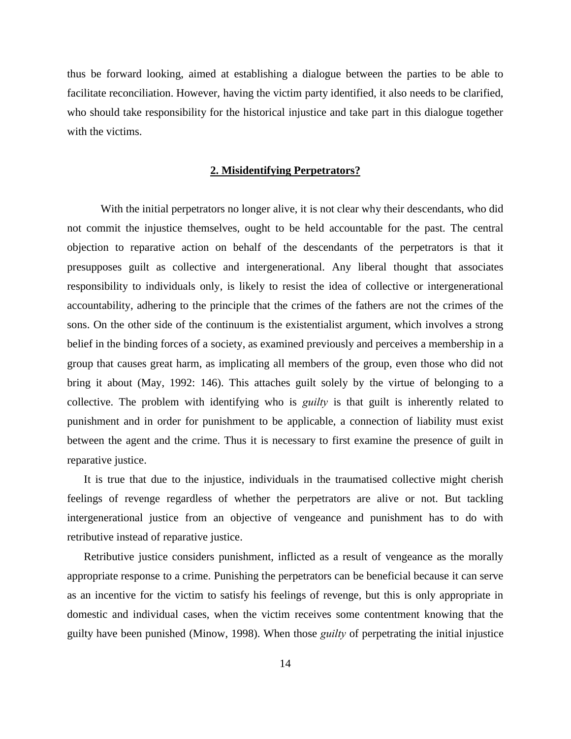thus be forward looking, aimed at establishing a dialogue between the parties to be able to facilitate reconciliation. However, having the victim party identified, it also needs to be clarified, who should take responsibility for the historical injustice and take part in this dialogue together with the victims.

#### **2. Misidentifying Perpetrators?**

With the initial perpetrators no longer alive, it is not clear why their descendants, who did not commit the injustice themselves, ought to be held accountable for the past. The central objection to reparative action on behalf of the descendants of the perpetrators is that it presupposes guilt as collective and intergenerational. Any liberal thought that associates responsibility to individuals only, is likely to resist the idea of collective or intergenerational accountability, adhering to the principle that the crimes of the fathers are not the crimes of the sons. On the other side of the continuum is the existentialist argument, which involves a strong belief in the binding forces of a society, as examined previously and perceives a membership in a group that causes great harm, as implicating all members of the group, even those who did not bring it about (May, 1992: 146). This attaches guilt solely by the virtue of belonging to a collective. The problem with identifying who is *guilty* is that guilt is inherently related to punishment and in order for punishment to be applicable, a connection of liability must exist between the agent and the crime. Thus it is necessary to first examine the presence of guilt in reparative justice.

It is true that due to the injustice, individuals in the traumatised collective might cherish feelings of revenge regardless of whether the perpetrators are alive or not. But tackling intergenerational justice from an objective of vengeance and punishment has to do with retributive instead of reparative justice.

Retributive justice considers punishment, inflicted as a result of vengeance as the morally appropriate response to a crime. Punishing the perpetrators can be beneficial because it can serve as an incentive for the victim to satisfy his feelings of revenge, but this is only appropriate in domestic and individual cases, when the victim receives some contentment knowing that the guilty have been punished (Minow, 1998). When those *guilty* of perpetrating the initial injustice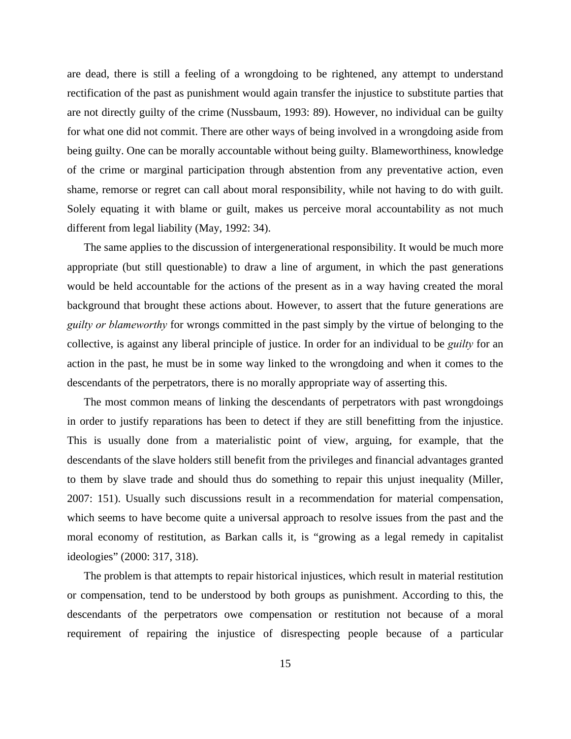are dead, there is still a feeling of a wrongdoing to be rightened, any attempt to understand rectification of the past as punishment would again transfer the injustice to substitute parties that are not directly guilty of the crime (Nussbaum, 1993: 89). However, no individual can be guilty for what one did not commit. There are other ways of being involved in a wrongdoing aside from being guilty. One can be morally accountable without being guilty. Blameworthiness, knowledge of the crime or marginal participation through abstention from any preventative action, even shame, remorse or regret can call about moral responsibility, while not having to do with guilt. Solely equating it with blame or guilt, makes us perceive moral accountability as not much different from legal liability (May, 1992: 34).

The same applies to the discussion of intergenerational responsibility. It would be much more appropriate (but still questionable) to draw a line of argument, in which the past generations would be held accountable for the actions of the present as in a way having created the moral background that brought these actions about. However, to assert that the future generations are *guilty or blameworthy* for wrongs committed in the past simply by the virtue of belonging to the collective, is against any liberal principle of justice. In order for an individual to be *guilty* for an action in the past, he must be in some way linked to the wrongdoing and when it comes to the descendants of the perpetrators, there is no morally appropriate way of asserting this.

The most common means of linking the descendants of perpetrators with past wrongdoings in order to justify reparations has been to detect if they are still benefitting from the injustice. This is usually done from a materialistic point of view, arguing, for example, that the descendants of the slave holders still benefit from the privileges and financial advantages granted to them by slave trade and should thus do something to repair this unjust inequality (Miller, 2007: 151). Usually such discussions result in a recommendation for material compensation, which seems to have become quite a universal approach to resolve issues from the past and the moral economy of restitution, as Barkan calls it, is "growing as a legal remedy in capitalist ideologies" (2000: 317, 318).

The problem is that attempts to repair historical injustices, which result in material restitution or compensation, tend to be understood by both groups as punishment. According to this, the descendants of the perpetrators owe compensation or restitution not because of a moral requirement of repairing the injustice of disrespecting people because of a particular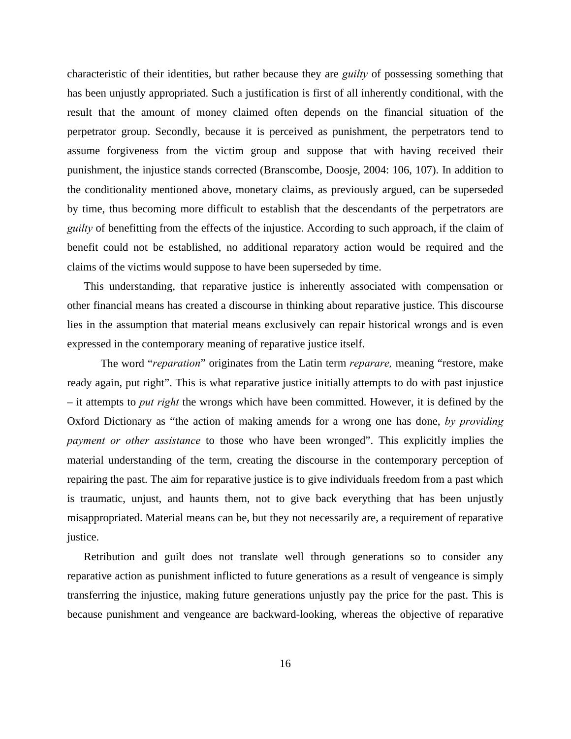characteristic of their identities, but rather because they are *guilty* of possessing something that has been unjustly appropriated. Such a justification is first of all inherently conditional, with the result that the amount of money claimed often depends on the financial situation of the perpetrator group. Secondly, because it is perceived as punishment, the perpetrators tend to assume forgiveness from the victim group and suppose that with having received their punishment, the injustice stands corrected (Branscombe, Doosje, 2004: 106, 107). In addition to the conditionality mentioned above, monetary claims, as previously argued, can be superseded by time, thus becoming more difficult to establish that the descendants of the perpetrators are *guilty* of benefitting from the effects of the injustice. According to such approach, if the claim of benefit could not be established, no additional reparatory action would be required and the claims of the victims would suppose to have been superseded by time.

This understanding, that reparative justice is inherently associated with compensation or other financial means has created a discourse in thinking about reparative justice. This discourse lies in the assumption that material means exclusively can repair historical wrongs and is even expressed in the contemporary meaning of reparative justice itself.

The word "*reparation*" originates from the Latin term *reparare,* meaning "restore, make ready again, put right". This is what reparative justice initially attempts to do with past injustice – it attempts to *put right* the wrongs which have been committed. However, it is defined by the Oxford Dictionary as "the action of making amends for a wrong one has done, *by providing payment or other assistance* to those who have been wronged". This explicitly implies the material understanding of the term, creating the discourse in the contemporary perception of repairing the past. The aim for reparative justice is to give individuals freedom from a past which is traumatic, unjust, and haunts them, not to give back everything that has been unjustly misappropriated. Material means can be, but they not necessarily are, a requirement of reparative justice.

Retribution and guilt does not translate well through generations so to consider any reparative action as punishment inflicted to future generations as a result of vengeance is simply transferring the injustice, making future generations unjustly pay the price for the past. This is because punishment and vengeance are backward-looking, whereas the objective of reparative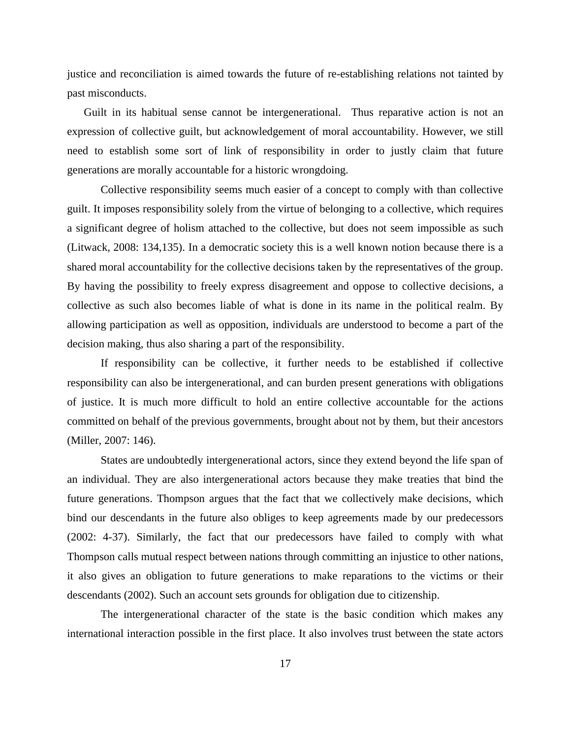justice and reconciliation is aimed towards the future of re-establishing relations not tainted by past misconducts.

Guilt in its habitual sense cannot be intergenerational. Thus reparative action is not an expression of collective guilt, but acknowledgement of moral accountability. However, we still need to establish some sort of link of responsibility in order to justly claim that future generations are morally accountable for a historic wrongdoing.

Collective responsibility seems much easier of a concept to comply with than collective guilt. It imposes responsibility solely from the virtue of belonging to a collective, which requires a significant degree of holism attached to the collective, but does not seem impossible as such (Litwack, 2008: 134,135). In a democratic society this is a well known notion because there is a shared moral accountability for the collective decisions taken by the representatives of the group. By having the possibility to freely express disagreement and oppose to collective decisions, a collective as such also becomes liable of what is done in its name in the political realm. By allowing participation as well as opposition, individuals are understood to become a part of the decision making, thus also sharing a part of the responsibility.

If responsibility can be collective, it further needs to be established if collective responsibility can also be intergenerational, and can burden present generations with obligations of justice. It is much more difficult to hold an entire collective accountable for the actions committed on behalf of the previous governments, brought about not by them, but their ancestors (Miller, 2007: 146).

States are undoubtedly intergenerational actors, since they extend beyond the life span of an individual. They are also intergenerational actors because they make treaties that bind the future generations. Thompson argues that the fact that we collectively make decisions, which bind our descendants in the future also obliges to keep agreements made by our predecessors (2002: 4-37). Similarly, the fact that our predecessors have failed to comply with what Thompson calls mutual respect between nations through committing an injustice to other nations, it also gives an obligation to future generations to make reparations to the victims or their descendants (2002). Such an account sets grounds for obligation due to citizenship.

The intergenerational character of the state is the basic condition which makes any international interaction possible in the first place. It also involves trust between the state actors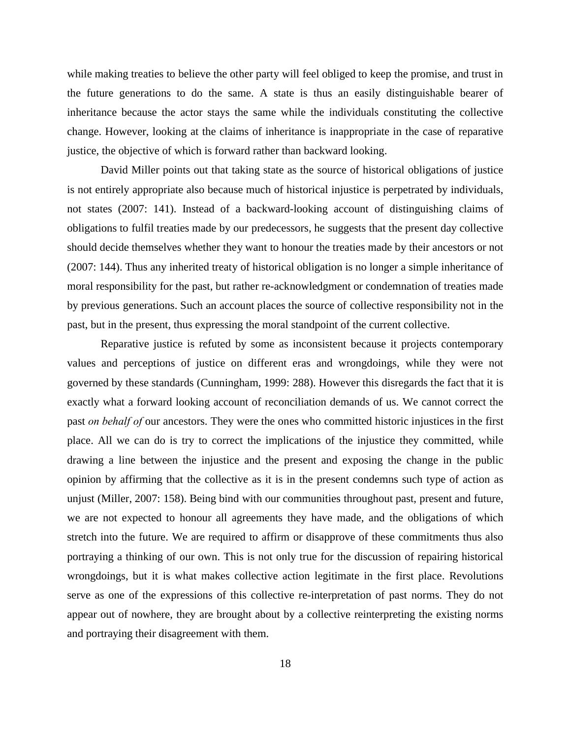while making treaties to believe the other party will feel obliged to keep the promise, and trust in the future generations to do the same. A state is thus an easily distinguishable bearer of inheritance because the actor stays the same while the individuals constituting the collective change. However, looking at the claims of inheritance is inappropriate in the case of reparative justice, the objective of which is forward rather than backward looking.

David Miller points out that taking state as the source of historical obligations of justice is not entirely appropriate also because much of historical injustice is perpetrated by individuals, not states (2007: 141). Instead of a backward-looking account of distinguishing claims of obligations to fulfil treaties made by our predecessors, he suggests that the present day collective should decide themselves whether they want to honour the treaties made by their ancestors or not (2007: 144). Thus any inherited treaty of historical obligation is no longer a simple inheritance of moral responsibility for the past, but rather re-acknowledgment or condemnation of treaties made by previous generations. Such an account places the source of collective responsibility not in the past, but in the present, thus expressing the moral standpoint of the current collective.

Reparative justice is refuted by some as inconsistent because it projects contemporary values and perceptions of justice on different eras and wrongdoings, while they were not governed by these standards (Cunningham, 1999: 288). However this disregards the fact that it is exactly what a forward looking account of reconciliation demands of us. We cannot correct the past *on behalf of* our ancestors. They were the ones who committed historic injustices in the first place. All we can do is try to correct the implications of the injustice they committed, while drawing a line between the injustice and the present and exposing the change in the public opinion by affirming that the collective as it is in the present condemns such type of action as unjust (Miller, 2007: 158). Being bind with our communities throughout past, present and future, we are not expected to honour all agreements they have made, and the obligations of which stretch into the future. We are required to affirm or disapprove of these commitments thus also portraying a thinking of our own. This is not only true for the discussion of repairing historical wrongdoings, but it is what makes collective action legitimate in the first place. Revolutions serve as one of the expressions of this collective re-interpretation of past norms. They do not appear out of nowhere, they are brought about by a collective reinterpreting the existing norms and portraying their disagreement with them.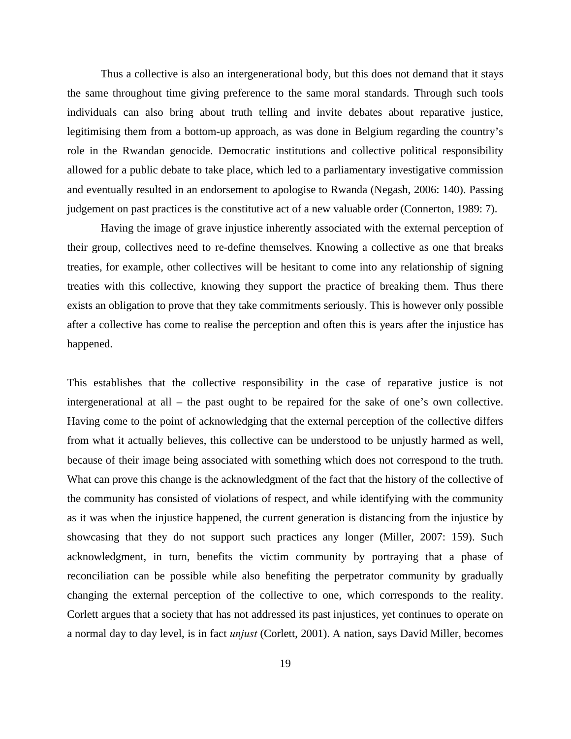Thus a collective is also an intergenerational body, but this does not demand that it stays the same throughout time giving preference to the same moral standards. Through such tools individuals can also bring about truth telling and invite debates about reparative justice, legitimising them from a bottom-up approach, as was done in Belgium regarding the country's role in the Rwandan genocide. Democratic institutions and collective political responsibility allowed for a public debate to take place, which led to a parliamentary investigative commission and eventually resulted in an endorsement to apologise to Rwanda (Negash, 2006: 140). Passing judgement on past practices is the constitutive act of a new valuable order (Connerton, 1989: 7).

Having the image of grave injustice inherently associated with the external perception of their group, collectives need to re-define themselves. Knowing a collective as one that breaks treaties, for example, other collectives will be hesitant to come into any relationship of signing treaties with this collective, knowing they support the practice of breaking them. Thus there exists an obligation to prove that they take commitments seriously. This is however only possible after a collective has come to realise the perception and often this is years after the injustice has happened.

This establishes that the collective responsibility in the case of reparative justice is not intergenerational at all – the past ought to be repaired for the sake of one's own collective. Having come to the point of acknowledging that the external perception of the collective differs from what it actually believes, this collective can be understood to be unjustly harmed as well, because of their image being associated with something which does not correspond to the truth. What can prove this change is the acknowledgment of the fact that the history of the collective of the community has consisted of violations of respect, and while identifying with the community as it was when the injustice happened, the current generation is distancing from the injustice by showcasing that they do not support such practices any longer (Miller, 2007: 159). Such acknowledgment, in turn, benefits the victim community by portraying that a phase of reconciliation can be possible while also benefiting the perpetrator community by gradually changing the external perception of the collective to one, which corresponds to the reality. Corlett argues that a society that has not addressed its past injustices, yet continues to operate on a normal day to day level, is in fact *unjust* (Corlett, 2001). A nation, says David Miller, becomes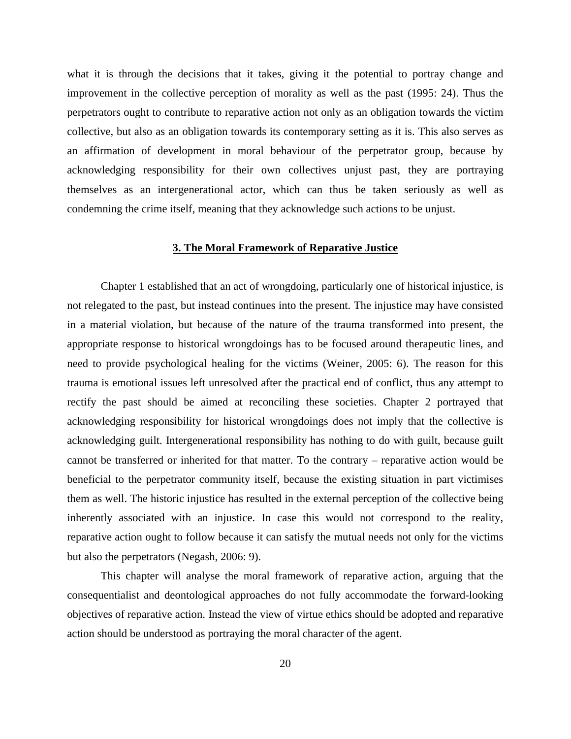what it is through the decisions that it takes, giving it the potential to portray change and improvement in the collective perception of morality as well as the past (1995: 24). Thus the perpetrators ought to contribute to reparative action not only as an obligation towards the victim collective, but also as an obligation towards its contemporary setting as it is. This also serves as an affirmation of development in moral behaviour of the perpetrator group, because by acknowledging responsibility for their own collectives unjust past, they are portraying themselves as an intergenerational actor, which can thus be taken seriously as well as condemning the crime itself, meaning that they acknowledge such actions to be unjust.

#### **3. The Moral Framework of Reparative Justice**

Chapter 1 established that an act of wrongdoing, particularly one of historical injustice, is not relegated to the past, but instead continues into the present. The injustice may have consisted in a material violation, but because of the nature of the trauma transformed into present, the appropriate response to historical wrongdoings has to be focused around therapeutic lines, and need to provide psychological healing for the victims (Weiner, 2005: 6). The reason for this trauma is emotional issues left unresolved after the practical end of conflict, thus any attempt to rectify the past should be aimed at reconciling these societies. Chapter 2 portrayed that acknowledging responsibility for historical wrongdoings does not imply that the collective is acknowledging guilt. Intergenerational responsibility has nothing to do with guilt, because guilt cannot be transferred or inherited for that matter. To the contrary – reparative action would be beneficial to the perpetrator community itself, because the existing situation in part victimises them as well. The historic injustice has resulted in the external perception of the collective being inherently associated with an injustice. In case this would not correspond to the reality, reparative action ought to follow because it can satisfy the mutual needs not only for the victims but also the perpetrators (Negash, 2006: 9).

This chapter will analyse the moral framework of reparative action, arguing that the consequentialist and deontological approaches do not fully accommodate the forward-looking objectives of reparative action. Instead the view of virtue ethics should be adopted and reparative action should be understood as portraying the moral character of the agent.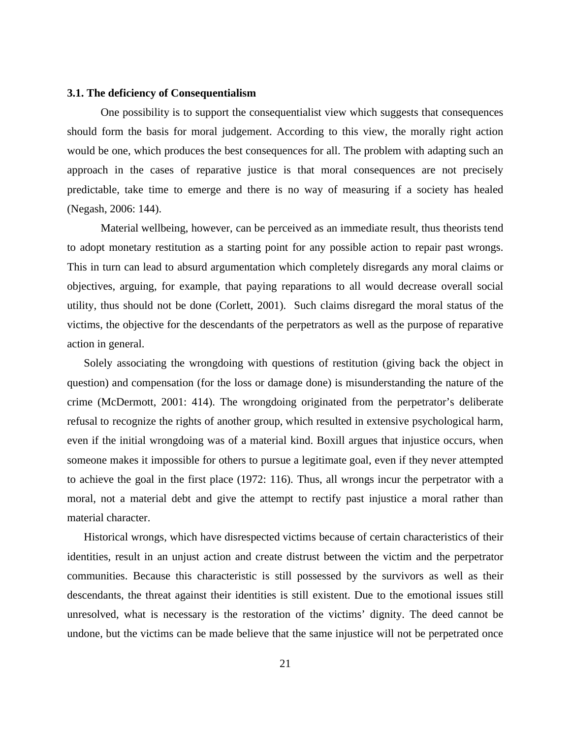#### **3.1. The deficiency of Consequentialism**

One possibility is to support the consequentialist view which suggests that consequences should form the basis for moral judgement. According to this view, the morally right action would be one, which produces the best consequences for all. The problem with adapting such an approach in the cases of reparative justice is that moral consequences are not precisely predictable, take time to emerge and there is no way of measuring if a society has healed (Negash, 2006: 144).

Material wellbeing, however, can be perceived as an immediate result, thus theorists tend to adopt monetary restitution as a starting point for any possible action to repair past wrongs. This in turn can lead to absurd argumentation which completely disregards any moral claims or objectives, arguing, for example, that paying reparations to all would decrease overall social utility, thus should not be done (Corlett, 2001). Such claims disregard the moral status of the victims, the objective for the descendants of the perpetrators as well as the purpose of reparative action in general.

Solely associating the wrongdoing with questions of restitution (giving back the object in question) and compensation (for the loss or damage done) is misunderstanding the nature of the crime (McDermott, 2001: 414). The wrongdoing originated from the perpetrator's deliberate refusal to recognize the rights of another group, which resulted in extensive psychological harm, even if the initial wrongdoing was of a material kind. Boxill argues that injustice occurs, when someone makes it impossible for others to pursue a legitimate goal, even if they never attempted to achieve the goal in the first place (1972: 116). Thus, all wrongs incur the perpetrator with a moral, not a material debt and give the attempt to rectify past injustice a moral rather than material character.

Historical wrongs, which have disrespected victims because of certain characteristics of their identities, result in an unjust action and create distrust between the victim and the perpetrator communities. Because this characteristic is still possessed by the survivors as well as their descendants, the threat against their identities is still existent. Due to the emotional issues still unresolved, what is necessary is the restoration of the victims' dignity. The deed cannot be undone, but the victims can be made believe that the same injustice will not be perpetrated once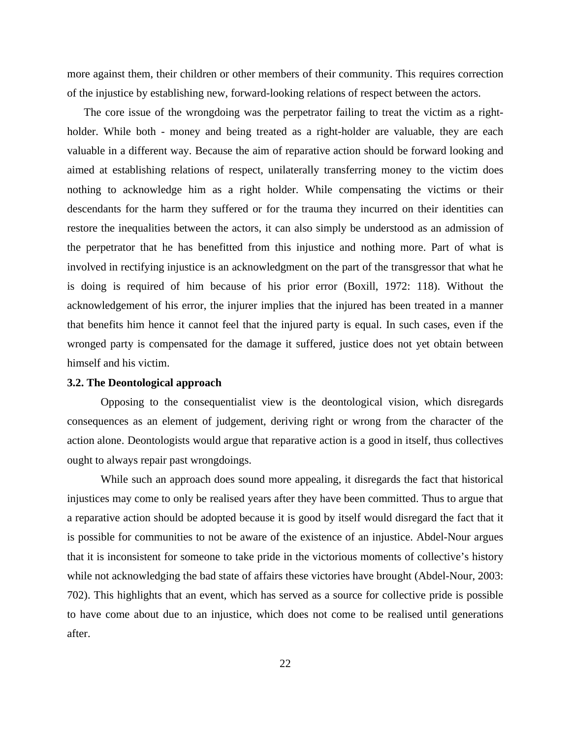more against them, their children or other members of their community. This requires correction of the injustice by establishing new, forward-looking relations of respect between the actors.

The core issue of the wrongdoing was the perpetrator failing to treat the victim as a rightholder. While both - money and being treated as a right-holder are valuable, they are each valuable in a different way. Because the aim of reparative action should be forward looking and aimed at establishing relations of respect, unilaterally transferring money to the victim does nothing to acknowledge him as a right holder. While compensating the victims or their descendants for the harm they suffered or for the trauma they incurred on their identities can restore the inequalities between the actors, it can also simply be understood as an admission of the perpetrator that he has benefitted from this injustice and nothing more. Part of what is involved in rectifying injustice is an acknowledgment on the part of the transgressor that what he is doing is required of him because of his prior error (Boxill, 1972: 118). Without the acknowledgement of his error, the injurer implies that the injured has been treated in a manner that benefits him hence it cannot feel that the injured party is equal. In such cases, even if the wronged party is compensated for the damage it suffered, justice does not yet obtain between himself and his victim.

#### **3.2. The Deontological approach**

Opposing to the consequentialist view is the deontological vision, which disregards consequences as an element of judgement, deriving right or wrong from the character of the action alone. Deontologists would argue that reparative action is a good in itself, thus collectives ought to always repair past wrongdoings.

While such an approach does sound more appealing, it disregards the fact that historical injustices may come to only be realised years after they have been committed. Thus to argue that a reparative action should be adopted because it is good by itself would disregard the fact that it is possible for communities to not be aware of the existence of an injustice. Abdel-Nour argues that it is inconsistent for someone to take pride in the victorious moments of collective's history while not acknowledging the bad state of affairs these victories have brought (Abdel-Nour, 2003: 702). This highlights that an event, which has served as a source for collective pride is possible to have come about due to an injustice, which does not come to be realised until generations after.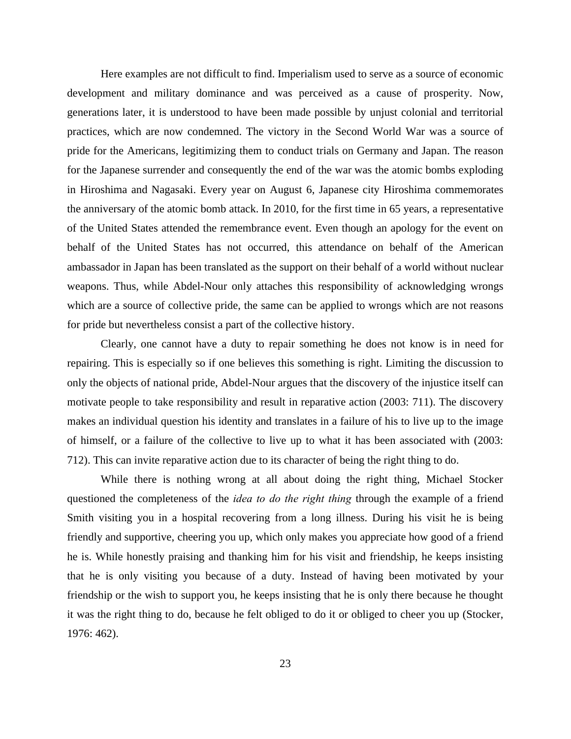Here examples are not difficult to find. Imperialism used to serve as a source of economic development and military dominance and was perceived as a cause of prosperity. Now, generations later, it is understood to have been made possible by unjust colonial and territorial practices, which are now condemned. The victory in the Second World War was a source of pride for the Americans, legitimizing them to conduct trials on Germany and Japan. The reason for the Japanese surrender and consequently the end of the war was the atomic bombs exploding in Hiroshima and Nagasaki. Every year on August 6, Japanese city Hiroshima commemorates the anniversary of the atomic bomb attack. In 2010, for the first time in 65 years, a representative of the United States attended the remembrance event. Even though an apology for the event on behalf of the United States has not occurred, this attendance on behalf of the American ambassador in Japan has been translated as the support on their behalf of a world without nuclear weapons. Thus, while Abdel-Nour only attaches this responsibility of acknowledging wrongs which are a source of collective pride, the same can be applied to wrongs which are not reasons for pride but nevertheless consist a part of the collective history.

Clearly, one cannot have a duty to repair something he does not know is in need for repairing. This is especially so if one believes this something is right. Limiting the discussion to only the objects of national pride, Abdel-Nour argues that the discovery of the injustice itself can motivate people to take responsibility and result in reparative action (2003: 711). The discovery makes an individual question his identity and translates in a failure of his to live up to the image of himself, or a failure of the collective to live up to what it has been associated with (2003: 712). This can invite reparative action due to its character of being the right thing to do.

While there is nothing wrong at all about doing the right thing, Michael Stocker questioned the completeness of the *idea to do the right thing* through the example of a friend Smith visiting you in a hospital recovering from a long illness. During his visit he is being friendly and supportive, cheering you up, which only makes you appreciate how good of a friend he is. While honestly praising and thanking him for his visit and friendship, he keeps insisting that he is only visiting you because of a duty. Instead of having been motivated by your friendship or the wish to support you, he keeps insisting that he is only there because he thought it was the right thing to do, because he felt obliged to do it or obliged to cheer you up (Stocker, 1976: 462).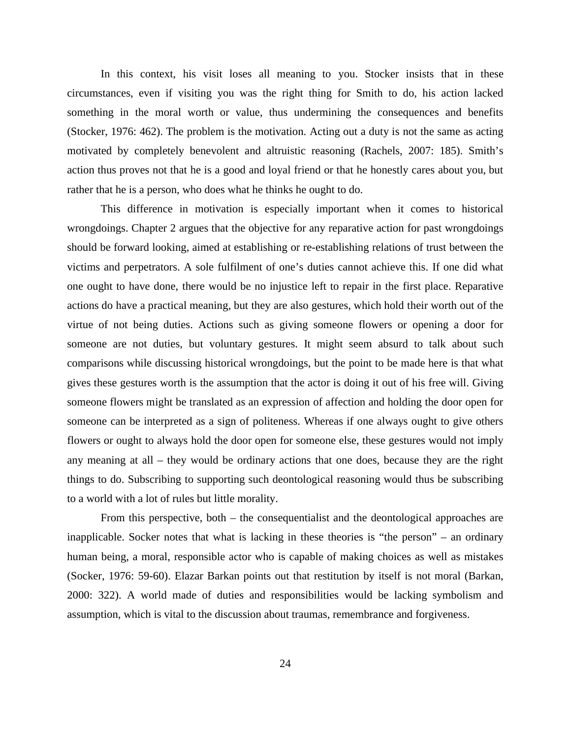In this context, his visit loses all meaning to you. Stocker insists that in these circumstances, even if visiting you was the right thing for Smith to do, his action lacked something in the moral worth or value, thus undermining the consequences and benefits (Stocker, 1976: 462). The problem is the motivation. Acting out a duty is not the same as acting motivated by completely benevolent and altruistic reasoning (Rachels, 2007: 185). Smith's action thus proves not that he is a good and loyal friend or that he honestly cares about you, but rather that he is a person, who does what he thinks he ought to do.

This difference in motivation is especially important when it comes to historical wrongdoings. Chapter 2 argues that the objective for any reparative action for past wrongdoings should be forward looking, aimed at establishing or re-establishing relations of trust between the victims and perpetrators. A sole fulfilment of one's duties cannot achieve this. If one did what one ought to have done, there would be no injustice left to repair in the first place. Reparative actions do have a practical meaning, but they are also gestures, which hold their worth out of the virtue of not being duties. Actions such as giving someone flowers or opening a door for someone are not duties, but voluntary gestures. It might seem absurd to talk about such comparisons while discussing historical wrongdoings, but the point to be made here is that what gives these gestures worth is the assumption that the actor is doing it out of his free will. Giving someone flowers might be translated as an expression of affection and holding the door open for someone can be interpreted as a sign of politeness. Whereas if one always ought to give others flowers or ought to always hold the door open for someone else, these gestures would not imply any meaning at all – they would be ordinary actions that one does, because they are the right things to do. Subscribing to supporting such deontological reasoning would thus be subscribing to a world with a lot of rules but little morality.

From this perspective, both – the consequentialist and the deontological approaches are inapplicable. Socker notes that what is lacking in these theories is "the person" – an ordinary human being, a moral, responsible actor who is capable of making choices as well as mistakes (Socker, 1976: 59-60). Elazar Barkan points out that restitution by itself is not moral (Barkan, 2000: 322). A world made of duties and responsibilities would be lacking symbolism and assumption, which is vital to the discussion about traumas, remembrance and forgiveness.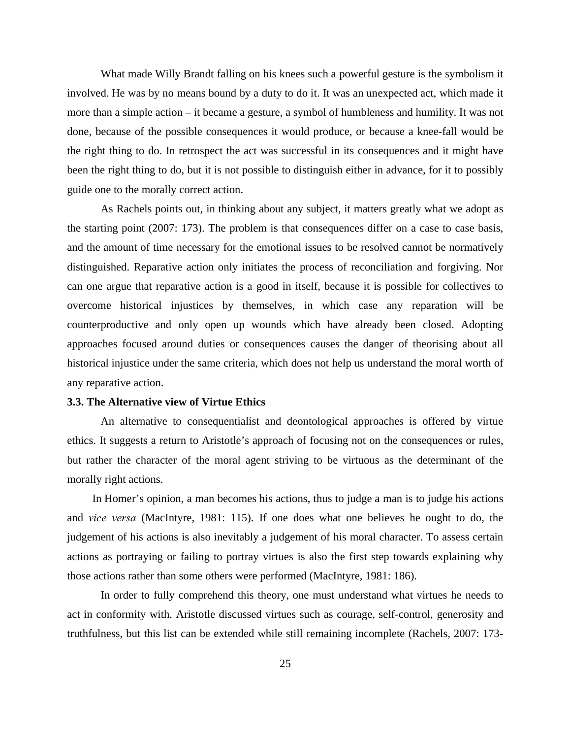What made Willy Brandt falling on his knees such a powerful gesture is the symbolism it involved. He was by no means bound by a duty to do it. It was an unexpected act, which made it more than a simple action – it became a gesture, a symbol of humbleness and humility. It was not done, because of the possible consequences it would produce, or because a knee-fall would be the right thing to do. In retrospect the act was successful in its consequences and it might have been the right thing to do, but it is not possible to distinguish either in advance, for it to possibly guide one to the morally correct action.

As Rachels points out, in thinking about any subject, it matters greatly what we adopt as the starting point (2007: 173). The problem is that consequences differ on a case to case basis, and the amount of time necessary for the emotional issues to be resolved cannot be normatively distinguished. Reparative action only initiates the process of reconciliation and forgiving. Nor can one argue that reparative action is a good in itself, because it is possible for collectives to overcome historical injustices by themselves, in which case any reparation will be counterproductive and only open up wounds which have already been closed. Adopting approaches focused around duties or consequences causes the danger of theorising about all historical injustice under the same criteria, which does not help us understand the moral worth of any reparative action.

#### **3.3. The Alternative view of Virtue Ethics**

An alternative to consequentialist and deontological approaches is offered by virtue ethics. It suggests a return to Aristotle's approach of focusing not on the consequences or rules, but rather the character of the moral agent striving to be virtuous as the determinant of the morally right actions.

In Homer's opinion, a man becomes his actions, thus to judge a man is to judge his actions and *vice versa* (MacIntyre, 1981: 115). If one does what one believes he ought to do, the judgement of his actions is also inevitably a judgement of his moral character. To assess certain actions as portraying or failing to portray virtues is also the first step towards explaining why those actions rather than some others were performed (MacIntyre, 1981: 186).

In order to fully comprehend this theory, one must understand what virtues he needs to act in conformity with. Aristotle discussed virtues such as courage, self-control, generosity and truthfulness, but this list can be extended while still remaining incomplete (Rachels, 2007: 173-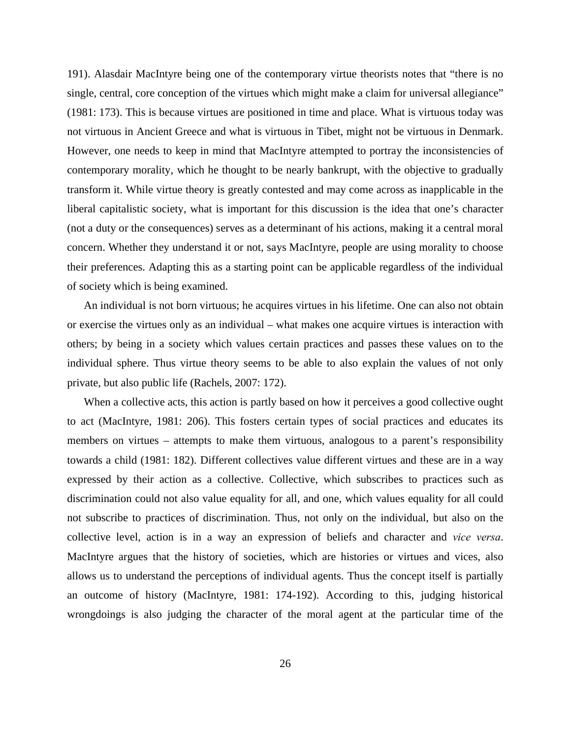191). Alasdair MacIntyre being one of the contemporary virtue theorists notes that "there is no single, central, core conception of the virtues which might make a claim for universal allegiance" (1981: 173). This is because virtues are positioned in time and place. What is virtuous today was not virtuous in Ancient Greece and what is virtuous in Tibet, might not be virtuous in Denmark. However, one needs to keep in mind that MacIntyre attempted to portray the inconsistencies of contemporary morality, which he thought to be nearly bankrupt, with the objective to gradually transform it. While virtue theory is greatly contested and may come across as inapplicable in the liberal capitalistic society, what is important for this discussion is the idea that one's character (not a duty or the consequences) serves as a determinant of his actions, making it a central moral concern. Whether they understand it or not, says MacIntyre, people are using morality to choose their preferences. Adapting this as a starting point can be applicable regardless of the individual of society which is being examined.

An individual is not born virtuous; he acquires virtues in his lifetime. One can also not obtain or exercise the virtues only as an individual – what makes one acquire virtues is interaction with others; by being in a society which values certain practices and passes these values on to the individual sphere. Thus virtue theory seems to be able to also explain the values of not only private, but also public life (Rachels, 2007: 172).

When a collective acts, this action is partly based on how it perceives a good collective ought to act (MacIntyre, 1981: 206). This fosters certain types of social practices and educates its members on virtues – attempts to make them virtuous, analogous to a parent's responsibility towards a child (1981: 182). Different collectives value different virtues and these are in a way expressed by their action as a collective. Collective, which subscribes to practices such as discrimination could not also value equality for all, and one, which values equality for all could not subscribe to practices of discrimination. Thus, not only on the individual, but also on the collective level, action is in a way an expression of beliefs and character and *vice versa*. MacIntyre argues that the history of societies, which are histories or virtues and vices, also allows us to understand the perceptions of individual agents. Thus the concept itself is partially an outcome of history (MacIntyre, 1981: 174-192). According to this, judging historical wrongdoings is also judging the character of the moral agent at the particular time of the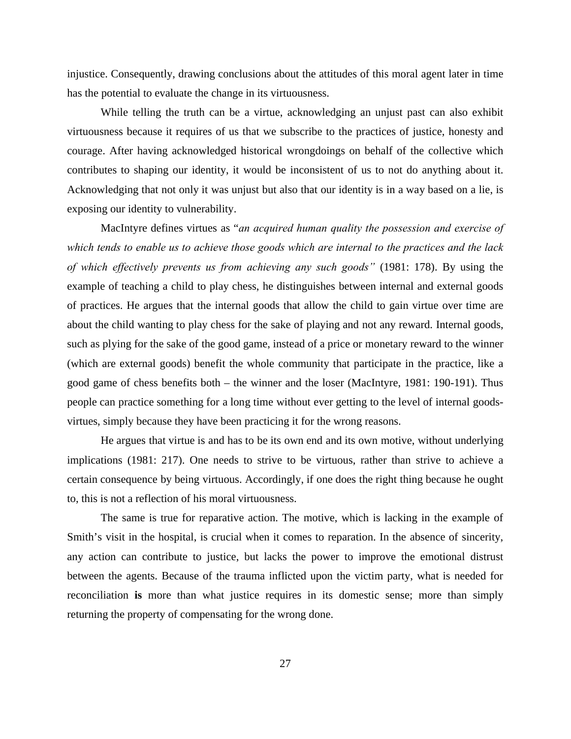injustice. Consequently, drawing conclusions about the attitudes of this moral agent later in time has the potential to evaluate the change in its virtuousness.

While telling the truth can be a virtue, acknowledging an unjust past can also exhibit virtuousness because it requires of us that we subscribe to the practices of justice, honesty and courage. After having acknowledged historical wrongdoings on behalf of the collective which contributes to shaping our identity, it would be inconsistent of us to not do anything about it. Acknowledging that not only it was unjust but also that our identity is in a way based on a lie, is exposing our identity to vulnerability.

MacIntyre defines virtues as "*an acquired human quality the possession and exercise of which tends to enable us to achieve those goods which are internal to the practices and the lack of which effectively prevents us from achieving any such goods"* (1981: 178). By using the example of teaching a child to play chess, he distinguishes between internal and external goods of practices. He argues that the internal goods that allow the child to gain virtue over time are about the child wanting to play chess for the sake of playing and not any reward. Internal goods, such as plying for the sake of the good game, instead of a price or monetary reward to the winner (which are external goods) benefit the whole community that participate in the practice, like a good game of chess benefits both – the winner and the loser (MacIntyre, 1981: 190-191). Thus people can practice something for a long time without ever getting to the level of internal goodsvirtues, simply because they have been practicing it for the wrong reasons.

He argues that virtue is and has to be its own end and its own motive, without underlying implications (1981: 217). One needs to strive to be virtuous, rather than strive to achieve a certain consequence by being virtuous. Accordingly, if one does the right thing because he ought to, this is not a reflection of his moral virtuousness.

The same is true for reparative action. The motive, which is lacking in the example of Smith's visit in the hospital, is crucial when it comes to reparation. In the absence of sincerity, any action can contribute to justice, but lacks the power to improve the emotional distrust between the agents. Because of the trauma inflicted upon the victim party, what is needed for reconciliation **is** more than what justice requires in its domestic sense; more than simply returning the property of compensating for the wrong done.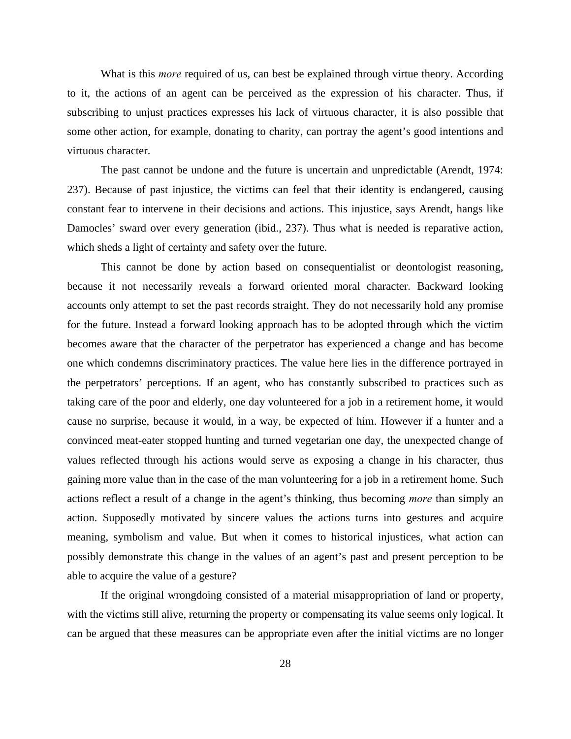What is this *more* required of us, can best be explained through virtue theory. According to it, the actions of an agent can be perceived as the expression of his character. Thus, if subscribing to unjust practices expresses his lack of virtuous character, it is also possible that some other action, for example, donating to charity, can portray the agent's good intentions and virtuous character.

The past cannot be undone and the future is uncertain and unpredictable (Arendt, 1974: 237). Because of past injustice, the victims can feel that their identity is endangered, causing constant fear to intervene in their decisions and actions. This injustice, says Arendt, hangs like Damocles' sward over every generation (ibid., 237). Thus what is needed is reparative action, which sheds a light of certainty and safety over the future.

This cannot be done by action based on consequentialist or deontologist reasoning, because it not necessarily reveals a forward oriented moral character. Backward looking accounts only attempt to set the past records straight. They do not necessarily hold any promise for the future. Instead a forward looking approach has to be adopted through which the victim becomes aware that the character of the perpetrator has experienced a change and has become one which condemns discriminatory practices. The value here lies in the difference portrayed in the perpetrators' perceptions. If an agent, who has constantly subscribed to practices such as taking care of the poor and elderly, one day volunteered for a job in a retirement home, it would cause no surprise, because it would, in a way, be expected of him. However if a hunter and a convinced meat-eater stopped hunting and turned vegetarian one day, the unexpected change of values reflected through his actions would serve as exposing a change in his character, thus gaining more value than in the case of the man volunteering for a job in a retirement home. Such actions reflect a result of a change in the agent's thinking, thus becoming *more* than simply an action. Supposedly motivated by sincere values the actions turns into gestures and acquire meaning, symbolism and value. But when it comes to historical injustices, what action can possibly demonstrate this change in the values of an agent's past and present perception to be able to acquire the value of a gesture?

If the original wrongdoing consisted of a material misappropriation of land or property, with the victims still alive, returning the property or compensating its value seems only logical. It can be argued that these measures can be appropriate even after the initial victims are no longer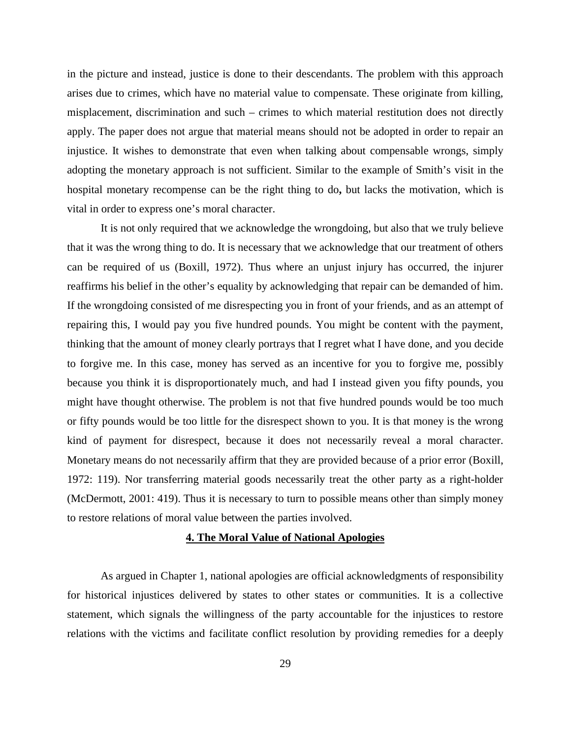in the picture and instead, justice is done to their descendants. The problem with this approach arises due to crimes, which have no material value to compensate. These originate from killing, misplacement, discrimination and such – crimes to which material restitution does not directly apply. The paper does not argue that material means should not be adopted in order to repair an injustice. It wishes to demonstrate that even when talking about compensable wrongs, simply adopting the monetary approach is not sufficient. Similar to the example of Smith's visit in the hospital monetary recompense can be the right thing to do**,** but lacks the motivation, which is vital in order to express one's moral character.

It is not only required that we acknowledge the wrongdoing, but also that we truly believe that it was the wrong thing to do. It is necessary that we acknowledge that our treatment of others can be required of us (Boxill, 1972). Thus where an unjust injury has occurred, the injurer reaffirms his belief in the other's equality by acknowledging that repair can be demanded of him. If the wrongdoing consisted of me disrespecting you in front of your friends, and as an attempt of repairing this, I would pay you five hundred pounds. You might be content with the payment, thinking that the amount of money clearly portrays that I regret what I have done, and you decide to forgive me. In this case, money has served as an incentive for you to forgive me, possibly because you think it is disproportionately much, and had I instead given you fifty pounds, you might have thought otherwise. The problem is not that five hundred pounds would be too much or fifty pounds would be too little for the disrespect shown to you. It is that money is the wrong kind of payment for disrespect, because it does not necessarily reveal a moral character. Monetary means do not necessarily affirm that they are provided because of a prior error (Boxill, 1972: 119). Nor transferring material goods necessarily treat the other party as a right-holder (McDermott, 2001: 419). Thus it is necessary to turn to possible means other than simply money to restore relations of moral value between the parties involved.

# **4. The Moral Value of National Apologies**

As argued in Chapter 1, national apologies are official acknowledgments of responsibility for historical injustices delivered by states to other states or communities. It is a collective statement, which signals the willingness of the party accountable for the injustices to restore relations with the victims and facilitate conflict resolution by providing remedies for a deeply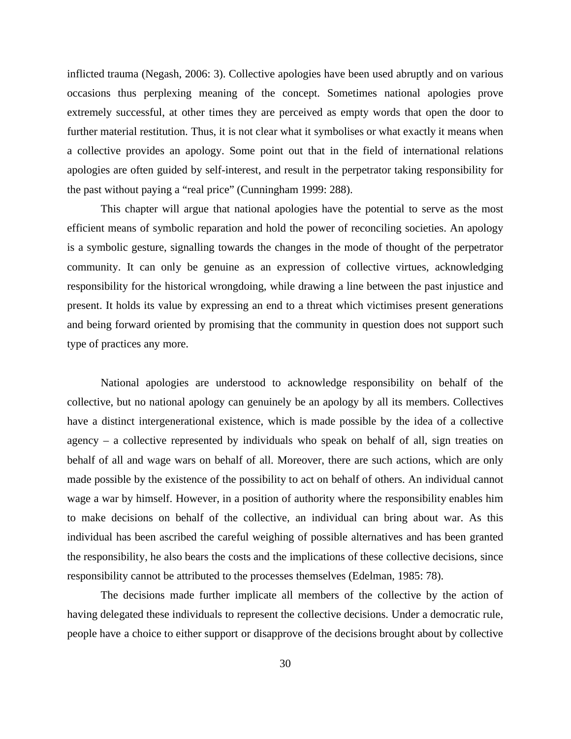inflicted trauma (Negash, 2006: 3). Collective apologies have been used abruptly and on various occasions thus perplexing meaning of the concept. Sometimes national apologies prove extremely successful, at other times they are perceived as empty words that open the door to further material restitution. Thus, it is not clear what it symbolises or what exactly it means when a collective provides an apology. Some point out that in the field of international relations apologies are often guided by self-interest, and result in the perpetrator taking responsibility for the past without paying a "real price" (Cunningham 1999: 288).

This chapter will argue that national apologies have the potential to serve as the most efficient means of symbolic reparation and hold the power of reconciling societies. An apology is a symbolic gesture, signalling towards the changes in the mode of thought of the perpetrator community. It can only be genuine as an expression of collective virtues, acknowledging responsibility for the historical wrongdoing, while drawing a line between the past injustice and present. It holds its value by expressing an end to a threat which victimises present generations and being forward oriented by promising that the community in question does not support such type of practices any more.

National apologies are understood to acknowledge responsibility on behalf of the collective, but no national apology can genuinely be an apology by all its members. Collectives have a distinct intergenerational existence, which is made possible by the idea of a collective agency – a collective represented by individuals who speak on behalf of all, sign treaties on behalf of all and wage wars on behalf of all. Moreover, there are such actions, which are only made possible by the existence of the possibility to act on behalf of others. An individual cannot wage a war by himself. However, in a position of authority where the responsibility enables him to make decisions on behalf of the collective, an individual can bring about war. As this individual has been ascribed the careful weighing of possible alternatives and has been granted the responsibility, he also bears the costs and the implications of these collective decisions, since responsibility cannot be attributed to the processes themselves (Edelman, 1985: 78).

The decisions made further implicate all members of the collective by the action of having delegated these individuals to represent the collective decisions. Under a democratic rule, people have a choice to either support or disapprove of the decisions brought about by collective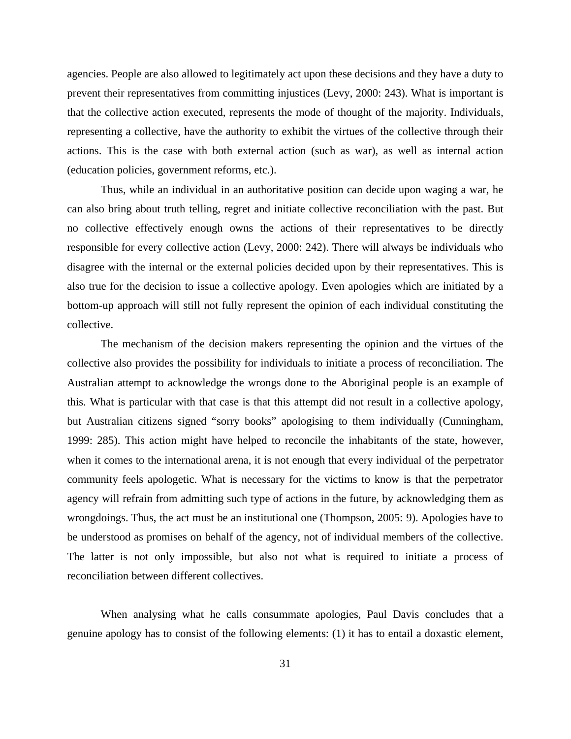agencies. People are also allowed to legitimately act upon these decisions and they have a duty to prevent their representatives from committing injustices (Levy, 2000: 243). What is important is that the collective action executed, represents the mode of thought of the majority. Individuals, representing a collective, have the authority to exhibit the virtues of the collective through their actions. This is the case with both external action (such as war), as well as internal action (education policies, government reforms, etc.).

Thus, while an individual in an authoritative position can decide upon waging a war, he can also bring about truth telling, regret and initiate collective reconciliation with the past. But no collective effectively enough owns the actions of their representatives to be directly responsible for every collective action (Levy, 2000: 242). There will always be individuals who disagree with the internal or the external policies decided upon by their representatives. This is also true for the decision to issue a collective apology. Even apologies which are initiated by a bottom-up approach will still not fully represent the opinion of each individual constituting the collective.

The mechanism of the decision makers representing the opinion and the virtues of the collective also provides the possibility for individuals to initiate a process of reconciliation. The Australian attempt to acknowledge the wrongs done to the Aboriginal people is an example of this. What is particular with that case is that this attempt did not result in a collective apology, but Australian citizens signed "sorry books" apologising to them individually (Cunningham, 1999: 285). This action might have helped to reconcile the inhabitants of the state, however, when it comes to the international arena, it is not enough that every individual of the perpetrator community feels apologetic. What is necessary for the victims to know is that the perpetrator agency will refrain from admitting such type of actions in the future, by acknowledging them as wrongdoings. Thus, the act must be an institutional one (Thompson, 2005: 9). Apologies have to be understood as promises on behalf of the agency, not of individual members of the collective. The latter is not only impossible, but also not what is required to initiate a process of reconciliation between different collectives.

When analysing what he calls consummate apologies, Paul Davis concludes that a genuine apology has to consist of the following elements: (1) it has to entail a doxastic element,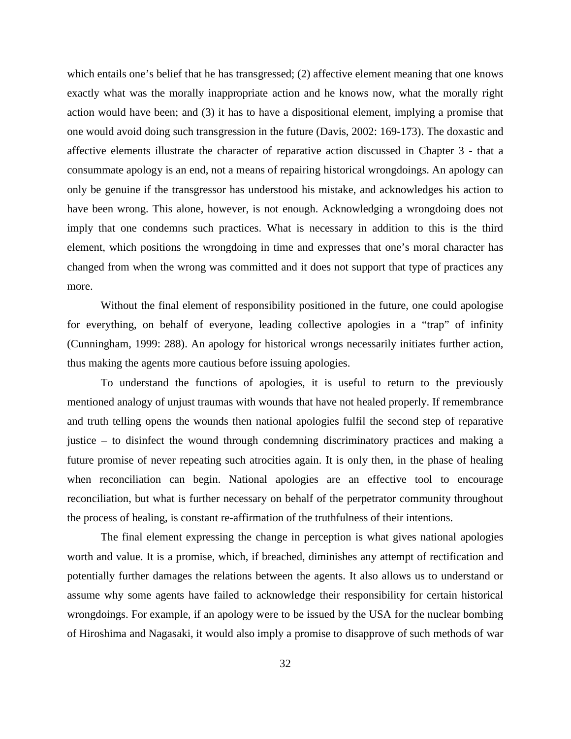which entails one's belief that he has transgressed; (2) affective element meaning that one knows exactly what was the morally inappropriate action and he knows now, what the morally right action would have been; and (3) it has to have a dispositional element, implying a promise that one would avoid doing such transgression in the future (Davis, 2002: 169-173). The doxastic and affective elements illustrate the character of reparative action discussed in Chapter 3 - that a consummate apology is an end, not a means of repairing historical wrongdoings. An apology can only be genuine if the transgressor has understood his mistake, and acknowledges his action to have been wrong. This alone, however, is not enough. Acknowledging a wrongdoing does not imply that one condemns such practices. What is necessary in addition to this is the third element, which positions the wrongdoing in time and expresses that one's moral character has changed from when the wrong was committed and it does not support that type of practices any more.

Without the final element of responsibility positioned in the future, one could apologise for everything, on behalf of everyone, leading collective apologies in a "trap" of infinity (Cunningham, 1999: 288). An apology for historical wrongs necessarily initiates further action, thus making the agents more cautious before issuing apologies.

To understand the functions of apologies, it is useful to return to the previously mentioned analogy of unjust traumas with wounds that have not healed properly. If remembrance and truth telling opens the wounds then national apologies fulfil the second step of reparative justice – to disinfect the wound through condemning discriminatory practices and making a future promise of never repeating such atrocities again. It is only then, in the phase of healing when reconciliation can begin. National apologies are an effective tool to encourage reconciliation, but what is further necessary on behalf of the perpetrator community throughout the process of healing, is constant re-affirmation of the truthfulness of their intentions.

The final element expressing the change in perception is what gives national apologies worth and value. It is a promise, which, if breached, diminishes any attempt of rectification and potentially further damages the relations between the agents. It also allows us to understand or assume why some agents have failed to acknowledge their responsibility for certain historical wrongdoings. For example, if an apology were to be issued by the USA for the nuclear bombing of Hiroshima and Nagasaki, it would also imply a promise to disapprove of such methods of war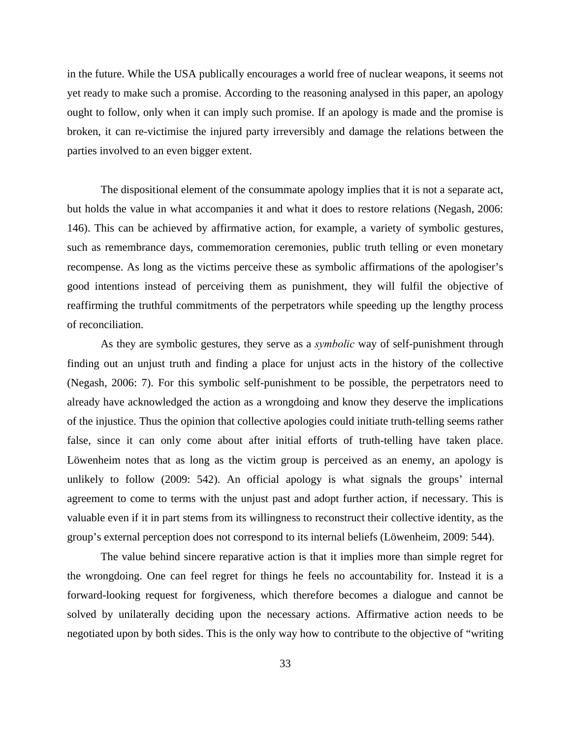in the future. While the USA publically encourages a world free of nuclear weapons, it seems not yet ready to make such a promise. According to the reasoning analysed in this paper, an apology ought to follow, only when it can imply such promise. If an apology is made and the promise is broken, it can re-victimise the injured party irreversibly and damage the relations between the parties involved to an even bigger extent.

The dispositional element of the consummate apology implies that it is not a separate act, but holds the value in what accompanies it and what it does to restore relations (Negash, 2006: 146). This can be achieved by affirmative action, for example, a variety of symbolic gestures, such as remembrance days, commemoration ceremonies, public truth telling or even monetary recompense. As long as the victims perceive these as symbolic affirmations of the apologiser's good intentions instead of perceiving them as punishment, they will fulfil the objective of reaffirming the truthful commitments of the perpetrators while speeding up the lengthy process of reconciliation.

As they are symbolic gestures, they serve as a *symbolic* way of self-punishment through finding out an unjust truth and finding a place for unjust acts in the history of the collective (Negash, 2006: 7). For this symbolic self-punishment to be possible, the perpetrators need to already have acknowledged the action as a wrongdoing and know they deserve the implications of the injustice. Thus the opinion that collective apologies could initiate truth-telling seems rather false, since it can only come about after initial efforts of truth-telling have taken place. Löwenheim notes that as long as the victim group is perceived as an enemy, an apology is unlikely to follow (2009: 542). An official apology is what signals the groups' internal agreement to come to terms with the unjust past and adopt further action, if necessary. This is valuable even if it in part stems from its willingness to reconstruct their collective identity, as the group's external perception does not correspond to its internal beliefs (Löwenheim, 2009: 544).

The value behind sincere reparative action is that it implies more than simple regret for the wrongdoing. One can feel regret for things he feels no accountability for. Instead it is a forward-looking request for forgiveness, which therefore becomes a dialogue and cannot be solved by unilaterally deciding upon the necessary actions. Affirmative action needs to be negotiated upon by both sides. This is the only way how to contribute to the objective of "writing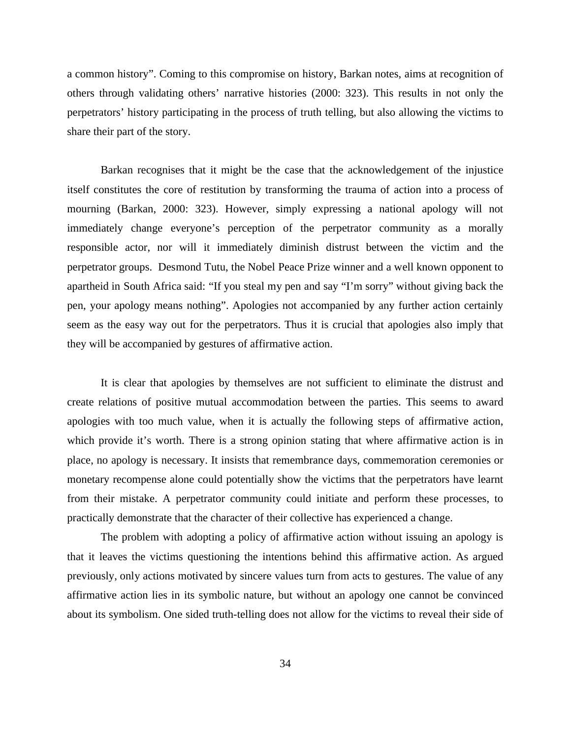a common history". Coming to this compromise on history, Barkan notes, aims at recognition of others through validating others' narrative histories (2000: 323). This results in not only the perpetrators' history participating in the process of truth telling, but also allowing the victims to share their part of the story.

Barkan recognises that it might be the case that the acknowledgement of the injustice itself constitutes the core of restitution by transforming the trauma of action into a process of mourning (Barkan, 2000: 323). However, simply expressing a national apology will not immediately change everyone's perception of the perpetrator community as a morally responsible actor, nor will it immediately diminish distrust between the victim and the perpetrator groups. Desmond Tutu, the Nobel Peace Prize winner and a well known opponent to apartheid in South Africa said: "If you steal my pen and say "I'm sorry" without giving back the pen, your apology means nothing". Apologies not accompanied by any further action certainly seem as the easy way out for the perpetrators. Thus it is crucial that apologies also imply that they will be accompanied by gestures of affirmative action.

It is clear that apologies by themselves are not sufficient to eliminate the distrust and create relations of positive mutual accommodation between the parties. This seems to award apologies with too much value, when it is actually the following steps of affirmative action, which provide it's worth. There is a strong opinion stating that where affirmative action is in place, no apology is necessary. It insists that remembrance days, commemoration ceremonies or monetary recompense alone could potentially show the victims that the perpetrators have learnt from their mistake. A perpetrator community could initiate and perform these processes, to practically demonstrate that the character of their collective has experienced a change.

The problem with adopting a policy of affirmative action without issuing an apology is that it leaves the victims questioning the intentions behind this affirmative action. As argued previously, only actions motivated by sincere values turn from acts to gestures. The value of any affirmative action lies in its symbolic nature, but without an apology one cannot be convinced about its symbolism. One sided truth-telling does not allow for the victims to reveal their side of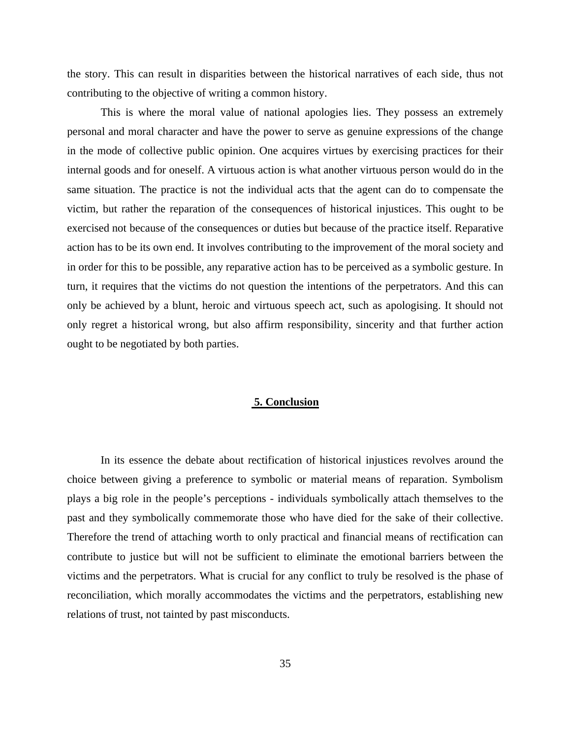the story. This can result in disparities between the historical narratives of each side, thus not contributing to the objective of writing a common history.

This is where the moral value of national apologies lies. They possess an extremely personal and moral character and have the power to serve as genuine expressions of the change in the mode of collective public opinion. One acquires virtues by exercising practices for their internal goods and for oneself. A virtuous action is what another virtuous person would do in the same situation. The practice is not the individual acts that the agent can do to compensate the victim, but rather the reparation of the consequences of historical injustices. This ought to be exercised not because of the consequences or duties but because of the practice itself. Reparative action has to be its own end. It involves contributing to the improvement of the moral society and in order for this to be possible, any reparative action has to be perceived as a symbolic gesture. In turn, it requires that the victims do not question the intentions of the perpetrators. And this can only be achieved by a blunt, heroic and virtuous speech act, such as apologising. It should not only regret a historical wrong, but also affirm responsibility, sincerity and that further action ought to be negotiated by both parties.

#### **5. Conclusion**

In its essence the debate about rectification of historical injustices revolves around the choice between giving a preference to symbolic or material means of reparation. Symbolism plays a big role in the people's perceptions - individuals symbolically attach themselves to the past and they symbolically commemorate those who have died for the sake of their collective. Therefore the trend of attaching worth to only practical and financial means of rectification can contribute to justice but will not be sufficient to eliminate the emotional barriers between the victims and the perpetrators. What is crucial for any conflict to truly be resolved is the phase of reconciliation, which morally accommodates the victims and the perpetrators, establishing new relations of trust, not tainted by past misconducts.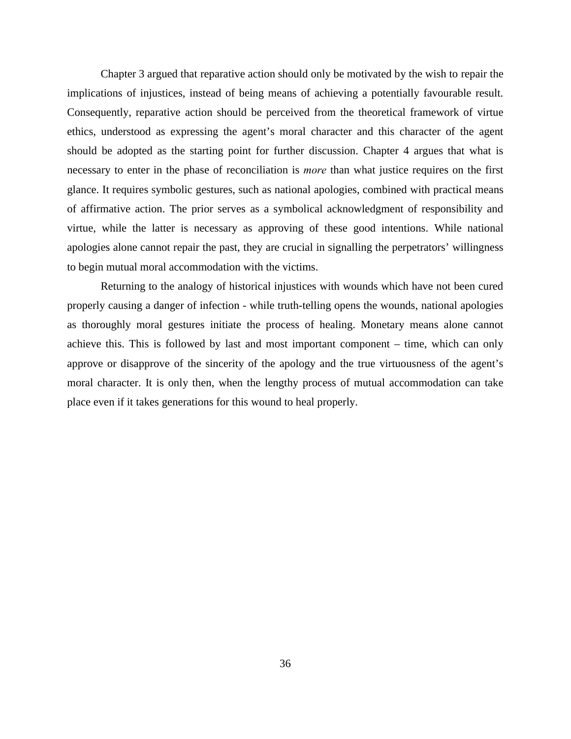Chapter 3 argued that reparative action should only be motivated by the wish to repair the implications of injustices, instead of being means of achieving a potentially favourable result. Consequently, reparative action should be perceived from the theoretical framework of virtue ethics, understood as expressing the agent's moral character and this character of the agent should be adopted as the starting point for further discussion. Chapter 4 argues that what is necessary to enter in the phase of reconciliation is *more* than what justice requires on the first glance. It requires symbolic gestures, such as national apologies, combined with practical means of affirmative action. The prior serves as a symbolical acknowledgment of responsibility and virtue, while the latter is necessary as approving of these good intentions. While national apologies alone cannot repair the past, they are crucial in signalling the perpetrators' willingness to begin mutual moral accommodation with the victims.

Returning to the analogy of historical injustices with wounds which have not been cured properly causing a danger of infection - while truth-telling opens the wounds, national apologies as thoroughly moral gestures initiate the process of healing. Monetary means alone cannot achieve this. This is followed by last and most important component – time, which can only approve or disapprove of the sincerity of the apology and the true virtuousness of the agent's moral character. It is only then, when the lengthy process of mutual accommodation can take place even if it takes generations for this wound to heal properly.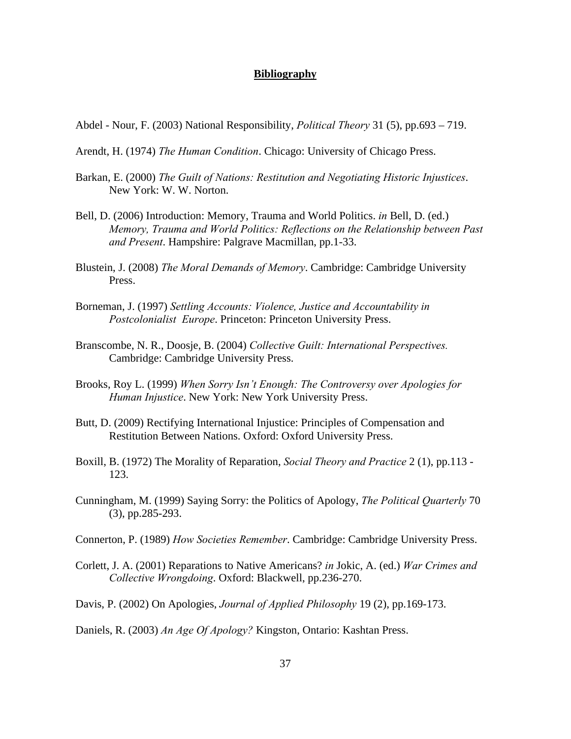# **Bibliography**

- Abdel Nour, F. (2003) National Responsibility, *Political Theory* 31 (5), pp.693 719.
- Arendt, H. (1974) *The Human Condition*. Chicago: University of Chicago Press.
- Barkan, E. (2000) *The Guilt of Nations: Restitution and Negotiating Historic Injustices*. New York: W. W. Norton.
- Bell, D. (2006) Introduction: Memory, Trauma and World Politics. *in* Bell, D. (ed.) *Memory, Trauma and World Politics: Reflections on the Relationship between Past and Present*. Hampshire: Palgrave Macmillan, pp.1-33.
- Blustein, J. (2008) *The Moral Demands of Memory*. Cambridge: Cambridge University Press.
- Borneman, J. (1997) *Settling Accounts: Violence, Justice and Accountability in Postcolonialist Europe*. Princeton: Princeton University Press.
- Branscombe, N. R., Doosje, B. (2004) *Collective Guilt: International Perspectives.*  Cambridge: Cambridge University Press.
- Brooks, Roy L. (1999) *When Sorry Isn't Enough: The Controversy over Apologies for Human Injustice*. New York: New York University Press.
- Butt, D. (2009) Rectifying International Injustice: Principles of Compensation and Restitution Between Nations. Oxford: Oxford University Press.
- Boxill, B. (1972) The Morality of Reparation, *Social Theory and Practice* 2 (1), pp.113 123.
- Cunningham, M. (1999) Saying Sorry: the Politics of Apology, *The Political Quarterly* 70 (3), pp.285-293.
- Connerton, P. (1989) *How Societies Remember*. Cambridge: Cambridge University Press.
- Corlett, J. A. (2001) Reparations to Native Americans? *in* Jokic, A. (ed.) *War Crimes and Collective Wrongdoing*. Oxford: Blackwell, pp.236-270.
- Davis, P. (2002) On Apologies, *Journal of Applied Philosophy* 19 (2), pp.169-173.
- Daniels, R. (2003) *An Age Of Apology?* Kingston, Ontario: Kashtan Press.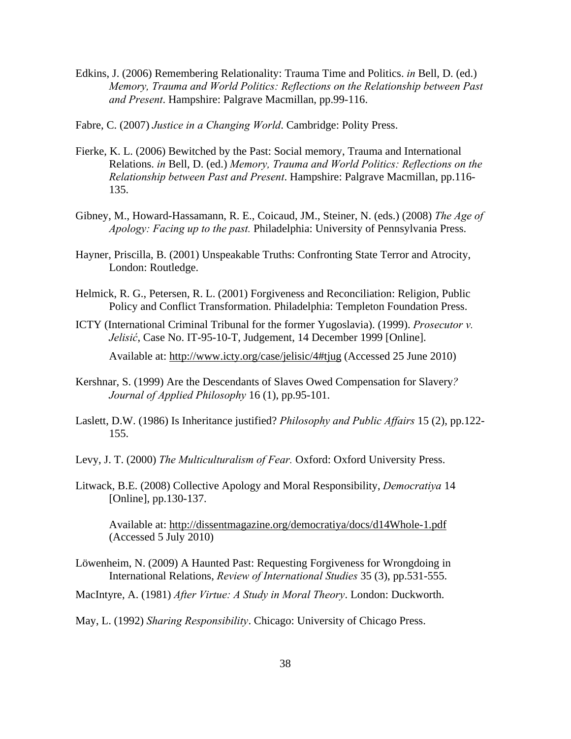- Edkins, J. (2006) Remembering Relationality: Trauma Time and Politics. *in* Bell, D. (ed.) *Memory, Trauma and World Politics: Reflections on the Relationship between Past and Present*. Hampshire: Palgrave Macmillan, pp.99-116.
- Fabre, C. (2007) *Justice in a Changing World*. Cambridge: Polity Press.
- Fierke, K. L. (2006) Bewitched by the Past: Social memory, Trauma and International Relations. *in* Bell, D. (ed.) *Memory, Trauma and World Politics: Reflections on the Relationship between Past and Present*. Hampshire: Palgrave Macmillan, pp.116- 135.
- Gibney, M., Howard-Hassamann, R. E., Coicaud, JM., Steiner, N. (eds.) (2008) *The Age of Apology: Facing up to the past.* Philadelphia: University of Pennsylvania Press.
- Hayner, Priscilla, B. (2001) Unspeakable Truths: Confronting State Terror and Atrocity, London: Routledge.
- Helmick, R. G., Petersen, R. L. (2001) Forgiveness and Reconciliation: Religion, Public Policy and Conflict Transformation. Philadelphia: Templeton Foundation Press.
- ICTY (International Criminal Tribunal for the former Yugoslavia). (1999). *Prosecutor v. Jelisić*, Case No. IT-95-10-T, Judgement, 14 December 1999 [Online].

Available at: http://www.icty.org/case/jelisic/4#tjug (Accessed 25 June 2010)

- Kershnar, S. (1999) Are the Descendants of Slaves Owed Compensation for Slavery*? Journal of Applied Philosophy* 16 (1), pp.95-101.
- Laslett, D.W. (1986) Is Inheritance justified? *Philosophy and Public Affairs* 15 (2), pp.122- 155.
- Levy, J. T. (2000) *The Multiculturalism of Fear.* Oxford: Oxford University Press.
- Litwack, B.E. (2008) Collective Apology and Moral Responsibility, *Democratiya* 14 [Online], pp.130-137.

Available at: http://dissentmagazine.org/democratiya/docs/d14Whole-1.pdf (Accessed 5 July 2010)

- Löwenheim, N. (2009) A Haunted Past: Requesting Forgiveness for Wrongdoing in International Relations, *Review of International Studies* 35 (3), pp.531-555.
- MacIntyre, A. (1981) *After Virtue: A Study in Moral Theory*. London: Duckworth.
- May, L. (1992) *Sharing Responsibility*. Chicago: University of Chicago Press.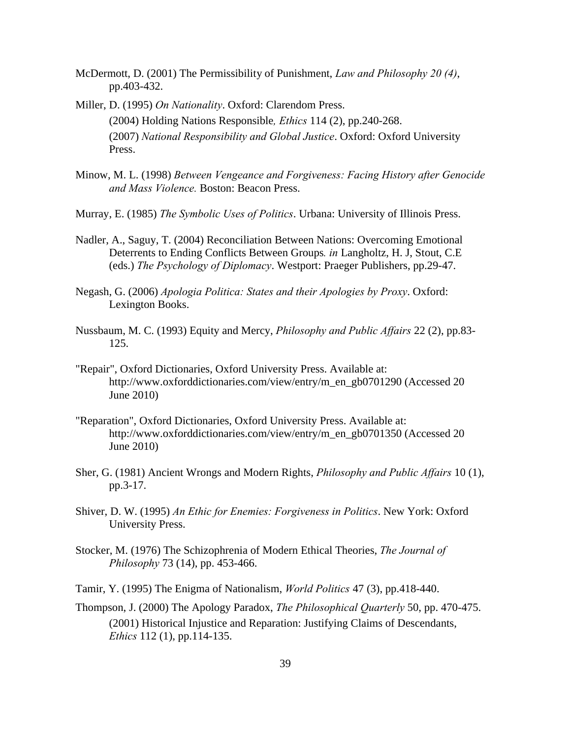- McDermott, D. (2001) The Permissibility of Punishment, *Law and Philosophy 20 (4)*, pp.403-432.
- Miller, D. (1995) *On Nationality*. Oxford: Clarendom Press. (2004) Holding Nations Responsible*, Ethics* 114 (2), pp.240-268. (2007) *National Responsibility and Global Justice*. Oxford: Oxford University Press.
- Minow, M. L. (1998) *Between Vengeance and Forgiveness: Facing History after Genocide and Mass Violence.* Boston: Beacon Press.
- Murray, E. (1985) *The Symbolic Uses of Politics*. Urbana: University of Illinois Press.
- Nadler, A., Saguy, T. (2004) Reconciliation Between Nations: Overcoming Emotional Deterrents to Ending Conflicts Between Groups*. in* Langholtz, H. J, Stout, C.E (eds.) *The Psychology of Diplomacy*. Westport: Praeger Publishers, pp.29-47.
- Negash, G. (2006) *Apologia Politica: States and their Apologies by Proxy*. Oxford: Lexington Books.
- Nussbaum, M. C. (1993) Equity and Mercy, *Philosophy and Public Affairs* 22 (2), pp.83- 125.
- "Repair", Oxford Dictionaries, Oxford University Press. Available at: http://www.oxforddictionaries.com/view/entry/m\_en\_gb0701290 (Accessed 20 June 2010)
- "Reparation", Oxford Dictionaries, Oxford University Press. Available at: http://www.oxforddictionaries.com/view/entry/m\_en\_gb0701350 (Accessed 20 June 2010)
- Sher, G. (1981) Ancient Wrongs and Modern Rights, *Philosophy and Public Affairs* 10 (1), pp.3-17.
- Shiver, D. W. (1995) *An Ethic for Enemies: Forgiveness in Politics*. New York: Oxford University Press.
- Stocker, M. (1976) The Schizophrenia of Modern Ethical Theories, *The Journal of Philosophy* 73 (14), pp. 453-466.
- Tamir, Y. (1995) The Enigma of Nationalism, *World Politics* 47 (3), pp.418-440.
- Thompson, J. (2000) The Apology Paradox, *The Philosophical Quarterly* 50, pp. 470-475. (2001) Historical Injustice and Reparation: Justifying Claims of Descendants, *Ethics* 112 (1), pp.114-135.